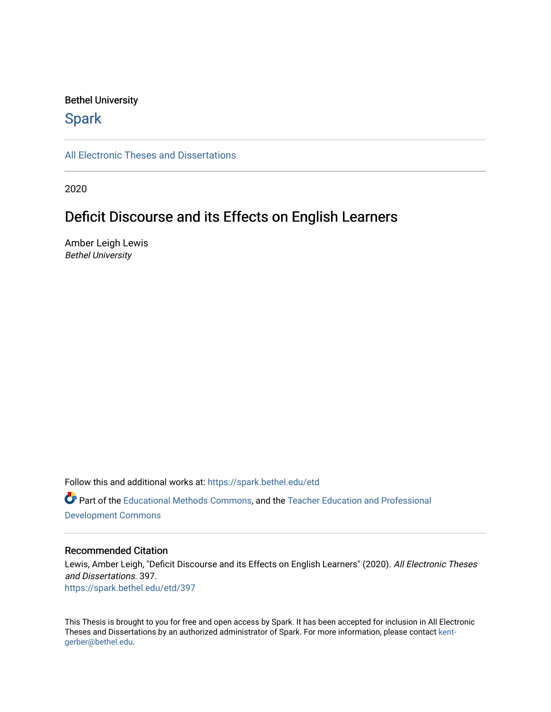#### Bethel University

# **Spark**

[All Electronic Theses and Dissertations](https://spark.bethel.edu/etd) 

2020

# Deficit Discourse and its Effects on English Learners

Amber Leigh Lewis Bethel University

Follow this and additional works at: [https://spark.bethel.edu/etd](https://spark.bethel.edu/etd?utm_source=spark.bethel.edu%2Fetd%2F397&utm_medium=PDF&utm_campaign=PDFCoverPages) Part of the [Educational Methods Commons,](http://network.bepress.com/hgg/discipline/1227?utm_source=spark.bethel.edu%2Fetd%2F397&utm_medium=PDF&utm_campaign=PDFCoverPages) and the [Teacher Education and Professional](http://network.bepress.com/hgg/discipline/803?utm_source=spark.bethel.edu%2Fetd%2F397&utm_medium=PDF&utm_campaign=PDFCoverPages)  [Development Commons](http://network.bepress.com/hgg/discipline/803?utm_source=spark.bethel.edu%2Fetd%2F397&utm_medium=PDF&utm_campaign=PDFCoverPages) 

#### Recommended Citation

Lewis, Amber Leigh, "Deficit Discourse and its Effects on English Learners" (2020). All Electronic Theses and Dissertations. 397. [https://spark.bethel.edu/etd/397](https://spark.bethel.edu/etd/397?utm_source=spark.bethel.edu%2Fetd%2F397&utm_medium=PDF&utm_campaign=PDFCoverPages)

This Thesis is brought to you for free and open access by Spark. It has been accepted for inclusion in All Electronic Theses and Dissertations by an authorized administrator of Spark. For more information, please contact [kent](mailto:kent-gerber@bethel.edu)[gerber@bethel.edu.](mailto:kent-gerber@bethel.edu)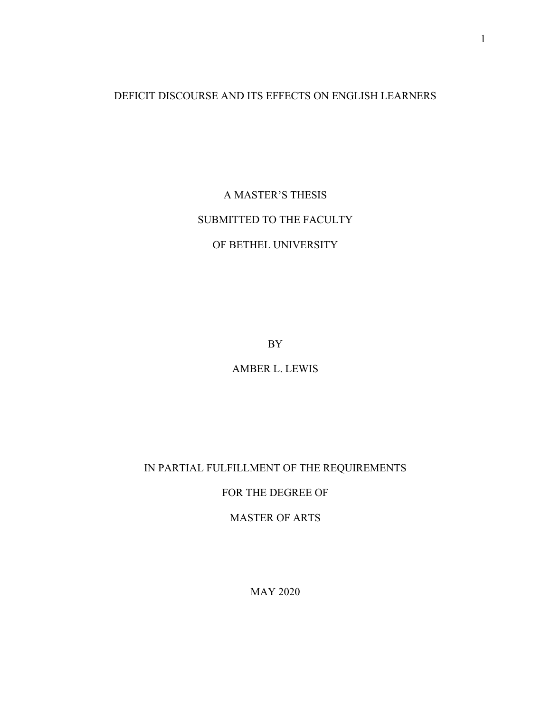## DEFICIT DISCOURSE AND ITS EFFECTS ON ENGLISH LEARNERS

A MASTER'S THESIS SUBMITTED TO THE FACULTY OF BETHEL UNIVERSITY

BY

AMBER L. LEWIS

## IN PARTIAL FULFILLMENT OF THE REQUIREMENTS

## FOR THE DEGREE OF

# MASTER OF ARTS

MAY 2020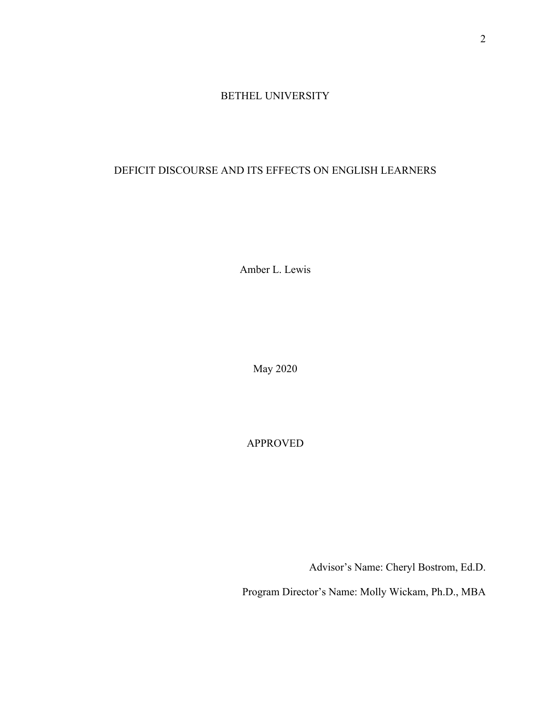## BETHEL UNIVERSITY

## DEFICIT DISCOURSE AND ITS EFFECTS ON ENGLISH LEARNERS

Amber L. Lewis

May 2020

APPROVED

Advisor's Name: Cheryl Bostrom, Ed.D.

Program Director's Name: Molly Wickam, Ph.D., MBA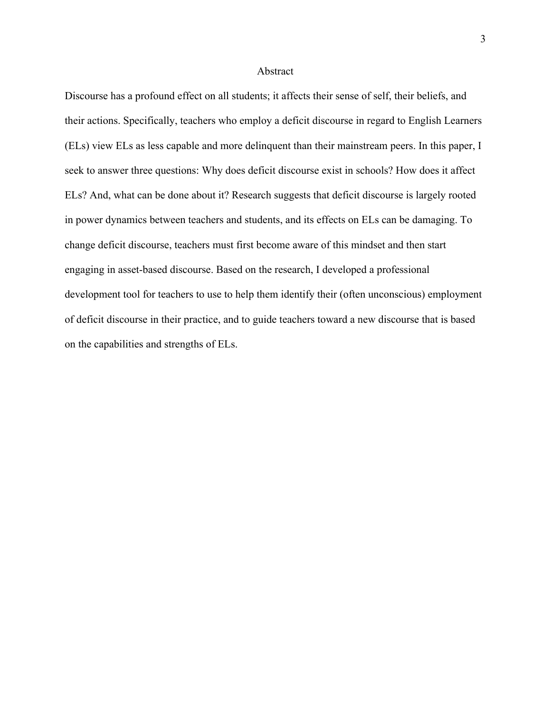#### Abstract

Discourse has a profound effect on all students; it affects their sense of self, their beliefs, and their actions. Specifically, teachers who employ a deficit discourse in regard to English Learners (ELs) view ELs as less capable and more delinquent than their mainstream peers. In this paper, I seek to answer three questions: Why does deficit discourse exist in schools? How does it affect ELs? And, what can be done about it? Research suggests that deficit discourse is largely rooted in power dynamics between teachers and students, and its effects on ELs can be damaging. To change deficit discourse, teachers must first become aware of this mindset and then start engaging in asset-based discourse. Based on the research, I developed a professional development tool for teachers to use to help them identify their (often unconscious) employment of deficit discourse in their practice, and to guide teachers toward a new discourse that is based on the capabilities and strengths of ELs.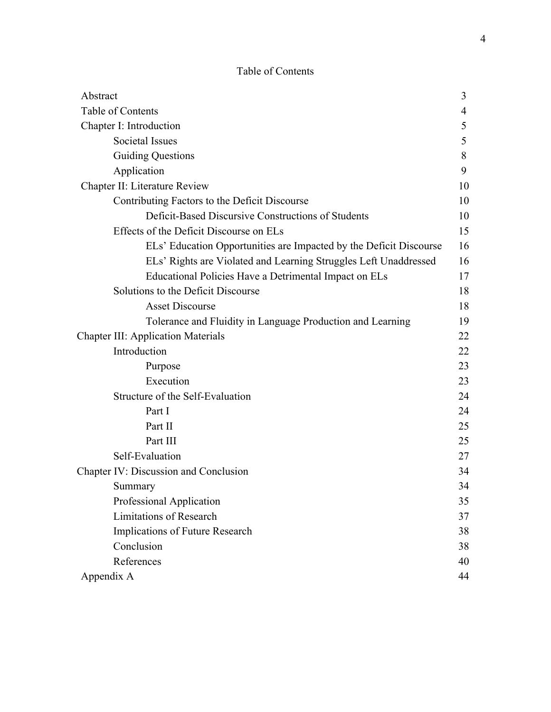# Table of Contents

| Abstract                                                           | 3  |
|--------------------------------------------------------------------|----|
| Table of Contents                                                  | 4  |
| Chapter I: Introduction                                            | 5  |
| Societal Issues                                                    | 5  |
| <b>Guiding Questions</b>                                           | 8  |
| Application                                                        | 9  |
| Chapter II: Literature Review                                      | 10 |
| Contributing Factors to the Deficit Discourse                      | 10 |
| Deficit-Based Discursive Constructions of Students                 | 10 |
| Effects of the Deficit Discourse on ELs                            | 15 |
| ELs' Education Opportunities are Impacted by the Deficit Discourse | 16 |
| ELs' Rights are Violated and Learning Struggles Left Unaddressed   | 16 |
| Educational Policies Have a Detrimental Impact on ELs              | 17 |
| Solutions to the Deficit Discourse                                 | 18 |
| <b>Asset Discourse</b>                                             | 18 |
| Tolerance and Fluidity in Language Production and Learning         | 19 |
| <b>Chapter III: Application Materials</b>                          | 22 |
| Introduction                                                       | 22 |
| Purpose                                                            | 23 |
| Execution                                                          | 23 |
| Structure of the Self-Evaluation                                   | 24 |
| Part I                                                             | 24 |
| Part II                                                            | 25 |
| Part III                                                           | 25 |
| Self-Evaluation                                                    | 27 |
| Chapter IV: Discussion and Conclusion                              | 34 |
| Summary                                                            | 34 |
| Professional Application                                           | 35 |
| <b>Limitations of Research</b>                                     | 37 |
| Implications of Future Research                                    | 38 |
| Conclusion                                                         | 38 |
| References                                                         | 40 |
| Appendix A                                                         | 44 |
|                                                                    |    |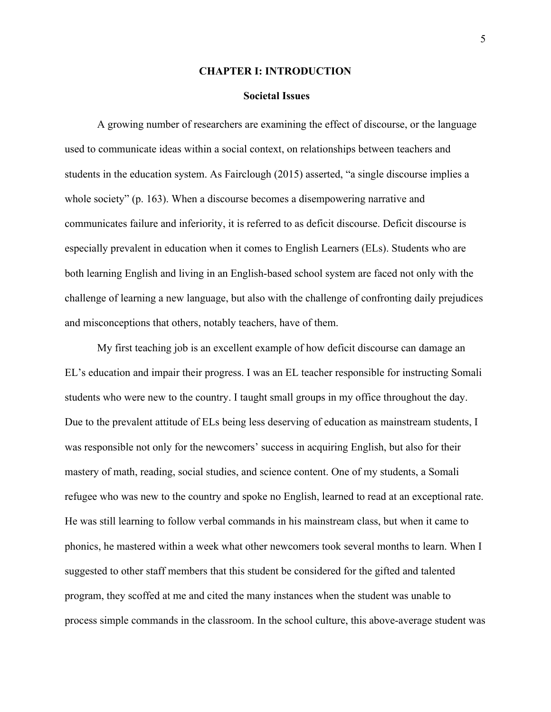#### **CHAPTER I: INTRODUCTION**

#### **Societal Issues**

A growing number of researchers are examining the effect of discourse, or the language used to communicate ideas within a social context, on relationships between teachers and students in the education system. As Fairclough (2015) asserted, "a single discourse implies a whole society" (p. 163). When a discourse becomes a disempowering narrative and communicates failure and inferiority, it is referred to as deficit discourse. Deficit discourse is especially prevalent in education when it comes to English Learners (ELs). Students who are both learning English and living in an English-based school system are faced not only with the challenge of learning a new language, but also with the challenge of confronting daily prejudices and misconceptions that others, notably teachers, have of them.

My first teaching job is an excellent example of how deficit discourse can damage an EL's education and impair their progress. I was an EL teacher responsible for instructing Somali students who were new to the country. I taught small groups in my office throughout the day. Due to the prevalent attitude of ELs being less deserving of education as mainstream students, I was responsible not only for the newcomers' success in acquiring English, but also for their mastery of math, reading, social studies, and science content. One of my students, a Somali refugee who was new to the country and spoke no English, learned to read at an exceptional rate. He was still learning to follow verbal commands in his mainstream class, but when it came to phonics, he mastered within a week what other newcomers took several months to learn. When I suggested to other staff members that this student be considered for the gifted and talented program, they scoffed at me and cited the many instances when the student was unable to process simple commands in the classroom. In the school culture, this above-average student was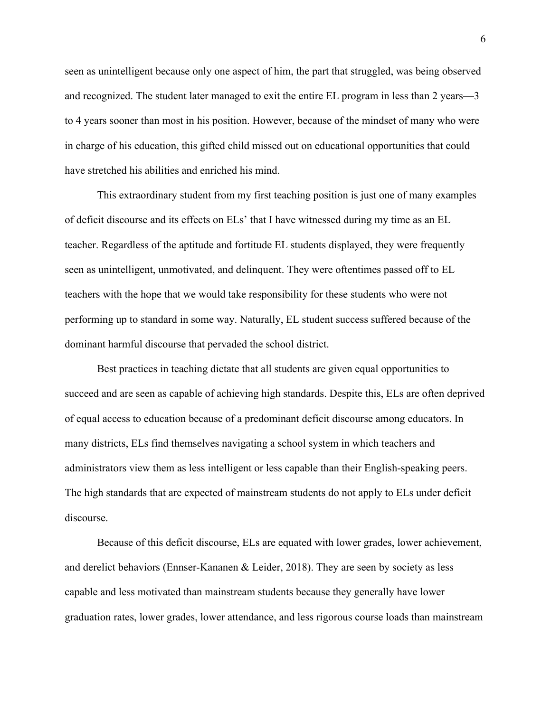seen as unintelligent because only one aspect of him, the part that struggled, was being observed and recognized. The student later managed to exit the entire EL program in less than 2 years—3 to 4 years sooner than most in his position. However, because of the mindset of many who were in charge of his education, this gifted child missed out on educational opportunities that could have stretched his abilities and enriched his mind.

This extraordinary student from my first teaching position is just one of many examples of deficit discourse and its effects on ELs' that I have witnessed during my time as an EL teacher. Regardless of the aptitude and fortitude EL students displayed, they were frequently seen as unintelligent, unmotivated, and delinquent. They were oftentimes passed off to EL teachers with the hope that we would take responsibility for these students who were not performing up to standard in some way. Naturally, EL student success suffered because of the dominant harmful discourse that pervaded the school district.

Best practices in teaching dictate that all students are given equal opportunities to succeed and are seen as capable of achieving high standards. Despite this, ELs are often deprived of equal access to education because of a predominant deficit discourse among educators. In many districts, ELs find themselves navigating a school system in which teachers and administrators view them as less intelligent or less capable than their English-speaking peers. The high standards that are expected of mainstream students do not apply to ELs under deficit discourse.

Because of this deficit discourse, ELs are equated with lower grades, lower achievement, and derelict behaviors (Ennser-Kananen & Leider, 2018). They are seen by society as less capable and less motivated than mainstream students because they generally have lower graduation rates, lower grades, lower attendance, and less rigorous course loads than mainstream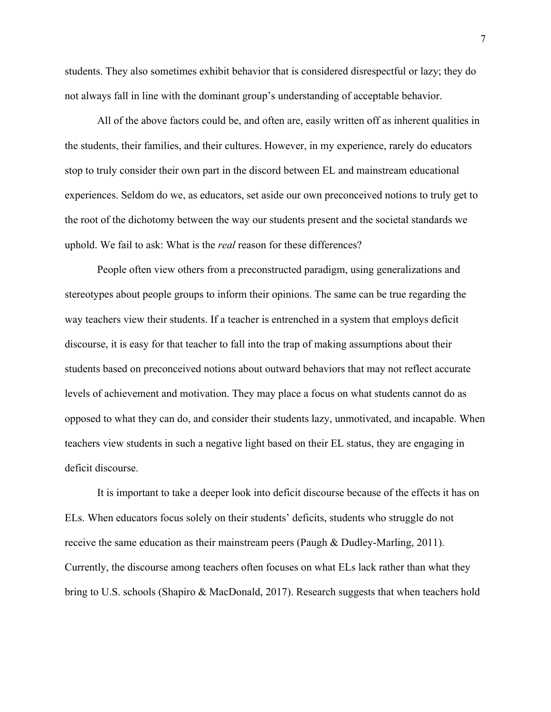students. They also sometimes exhibit behavior that is considered disrespectful or lazy; they do not always fall in line with the dominant group's understanding of acceptable behavior.

All of the above factors could be, and often are, easily written off as inherent qualities in the students, their families, and their cultures. However, in my experience, rarely do educators stop to truly consider their own part in the discord between EL and mainstream educational experiences. Seldom do we, as educators, set aside our own preconceived notions to truly get to the root of the dichotomy between the way our students present and the societal standards we uphold. We fail to ask: What is the *real* reason for these differences?

People often view others from a preconstructed paradigm, using generalizations and stereotypes about people groups to inform their opinions. The same can be true regarding the way teachers view their students. If a teacher is entrenched in a system that employs deficit discourse, it is easy for that teacher to fall into the trap of making assumptions about their students based on preconceived notions about outward behaviors that may not reflect accurate levels of achievement and motivation. They may place a focus on what students cannot do as opposed to what they can do, and consider their students lazy, unmotivated, and incapable. When teachers view students in such a negative light based on their EL status, they are engaging in deficit discourse.

It is important to take a deeper look into deficit discourse because of the effects it has on ELs. When educators focus solely on their students' deficits, students who struggle do not receive the same education as their mainstream peers (Paugh & Dudley-Marling, 2011). Currently, the discourse among teachers often focuses on what ELs lack rather than what they bring to U.S. schools (Shapiro & MacDonald, 2017). Research suggests that when teachers hold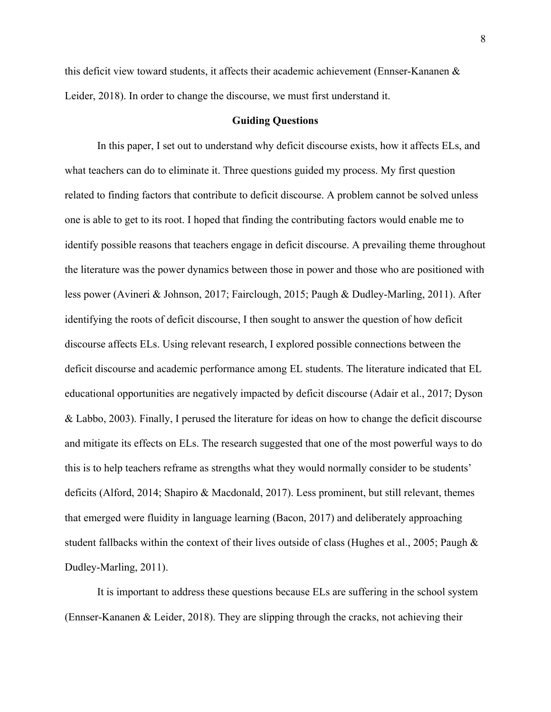this deficit view toward students, it affects their academic achievement (Ennser-Kananen & Leider, 2018). In order to change the discourse, we must first understand it.

#### **Guiding Questions**

In this paper, I set out to understand why deficit discourse exists, how it affects ELs, and what teachers can do to eliminate it. Three questions guided my process. My first question related to finding factors that contribute to deficit discourse. A problem cannot be solved unless one is able to get to its root. I hoped that finding the contributing factors would enable me to identify possible reasons that teachers engage in deficit discourse. A prevailing theme throughout the literature was the power dynamics between those in power and those who are positioned with less power (Avineri & Johnson, 2017; Fairclough, 2015; Paugh & Dudley-Marling, 2011). After identifying the roots of deficit discourse, I then sought to answer the question of how deficit discourse affects ELs. Using relevant research, I explored possible connections between the deficit discourse and academic performance among EL students. The literature indicated that EL educational opportunities are negatively impacted by deficit discourse (Adair et al., 2017; Dyson & Labbo, 2003). Finally, I perused the literature for ideas on how to change the deficit discourse and mitigate its effects on ELs. The research suggested that one of the most powerful ways to do this is to help teachers reframe as strengths what they would normally consider to be students' deficits (Alford, 2014; Shapiro & Macdonald, 2017). Less prominent, but still relevant, themes that emerged were fluidity in language learning (Bacon, 2017) and deliberately approaching student fallbacks within the context of their lives outside of class (Hughes et al., 2005; Paugh & Dudley-Marling, 2011).

It is important to address these questions because ELs are suffering in the school system (Ennser-Kananen & Leider, 2018). They are slipping through the cracks, not achieving their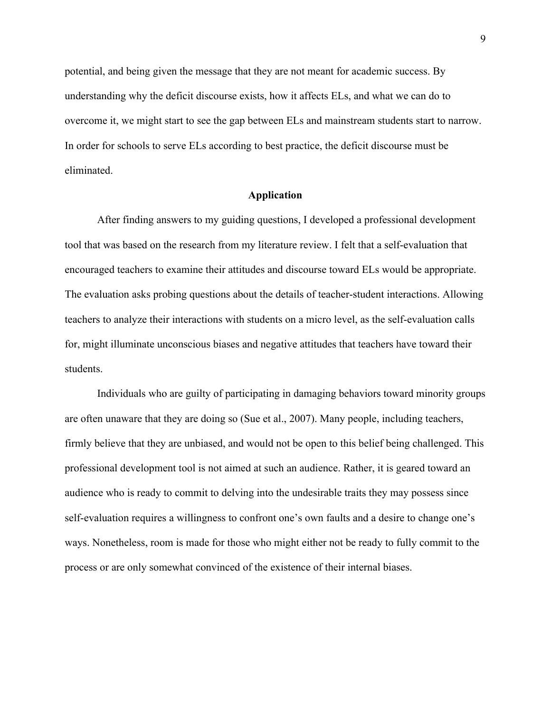potential, and being given the message that they are not meant for academic success. By understanding why the deficit discourse exists, how it affects ELs, and what we can do to overcome it, we might start to see the gap between ELs and mainstream students start to narrow. In order for schools to serve ELs according to best practice, the deficit discourse must be eliminated.

#### **Application**

After finding answers to my guiding questions, I developed a professional development tool that was based on the research from my literature review. I felt that a self-evaluation that encouraged teachers to examine their attitudes and discourse toward ELs would be appropriate. The evaluation asks probing questions about the details of teacher-student interactions. Allowing teachers to analyze their interactions with students on a micro level, as the self-evaluation calls for, might illuminate unconscious biases and negative attitudes that teachers have toward their students.

Individuals who are guilty of participating in damaging behaviors toward minority groups are often unaware that they are doing so (Sue et al., 2007). Many people, including teachers, firmly believe that they are unbiased, and would not be open to this belief being challenged. This professional development tool is not aimed at such an audience. Rather, it is geared toward an audience who is ready to commit to delving into the undesirable traits they may possess since self-evaluation requires a willingness to confront one's own faults and a desire to change one's ways. Nonetheless, room is made for those who might either not be ready to fully commit to the process or are only somewhat convinced of the existence of their internal biases.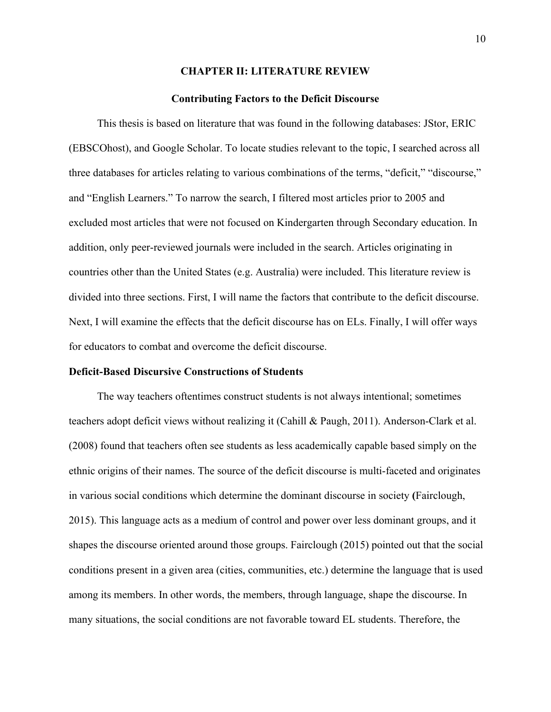#### **CHAPTER II: LITERATURE REVIEW**

#### **Contributing Factors to the Deficit Discourse**

This thesis is based on literature that was found in the following databases: JStor, ERIC (EBSCOhost), and Google Scholar. To locate studies relevant to the topic, I searched across all three databases for articles relating to various combinations of the terms, "deficit," "discourse," and "English Learners." To narrow the search, I filtered most articles prior to 2005 and excluded most articles that were not focused on Kindergarten through Secondary education. In addition, only peer-reviewed journals were included in the search. Articles originating in countries other than the United States (e.g. Australia) were included. This literature review is divided into three sections. First, I will name the factors that contribute to the deficit discourse. Next, I will examine the effects that the deficit discourse has on ELs. Finally, I will offer ways for educators to combat and overcome the deficit discourse.

#### **Deficit-Based Discursive Constructions of Students**

The way teachers oftentimes construct students is not always intentional; sometimes teachers adopt deficit views without realizing it (Cahill & Paugh, 2011). Anderson-Clark et al. (2008) found that teachers often see students as less academically capable based simply on the ethnic origins of their names. The source of the deficit discourse is multi-faceted and originates in various social conditions which determine the dominant discourse in society **(**Fairclough, 2015). This language acts as a medium of control and power over less dominant groups, and it shapes the discourse oriented around those groups. Fairclough (2015) pointed out that the social conditions present in a given area (cities, communities, etc.) determine the language that is used among its members. In other words, the members, through language, shape the discourse. In many situations, the social conditions are not favorable toward EL students. Therefore, the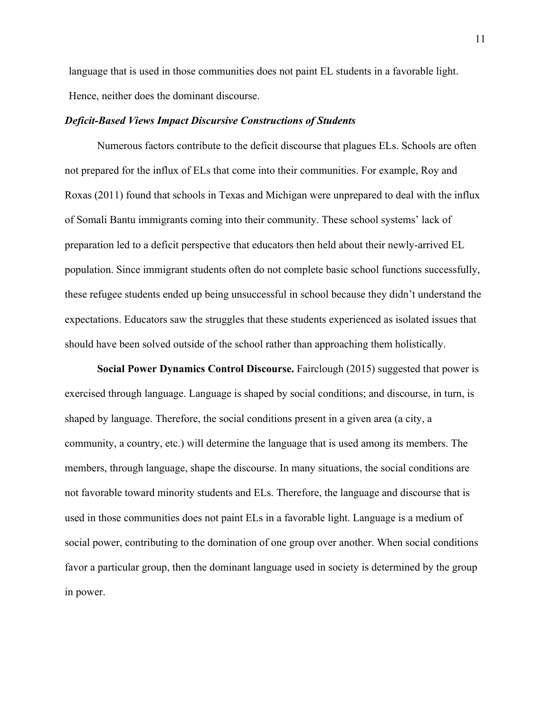language that is used in those communities does not paint EL students in a favorable light. Hence, neither does the dominant discourse.

#### *Deficit-Based Views Impact Discursive Constructions of Students*

Numerous factors contribute to the deficit discourse that plagues ELs. Schools are often not prepared for the influx of ELs that come into their communities. For example, Roy and Roxas (2011) found that schools in Texas and Michigan were unprepared to deal with the influx of Somali Bantu immigrants coming into their community. These school systems' lack of preparation led to a deficit perspective that educators then held about their newly-arrived EL population. Since immigrant students often do not complete basic school functions successfully, these refugee students ended up being unsuccessful in school because they didn't understand the expectations. Educators saw the struggles that these students experienced as isolated issues that should have been solved outside of the school rather than approaching them holistically.

**Social Power Dynamics Control Discourse.** Fairclough (2015) suggested that power is exercised through language. Language is shaped by social conditions; and discourse, in turn, is shaped by language. Therefore, the social conditions present in a given area (a city, a community, a country, etc.) will determine the language that is used among its members. The members, through language, shape the discourse. In many situations, the social conditions are not favorable toward minority students and ELs. Therefore, the language and discourse that is used in those communities does not paint ELs in a favorable light. Language is a medium of social power, contributing to the domination of one group over another. When social conditions favor a particular group, then the dominant language used in society is determined by the group in power.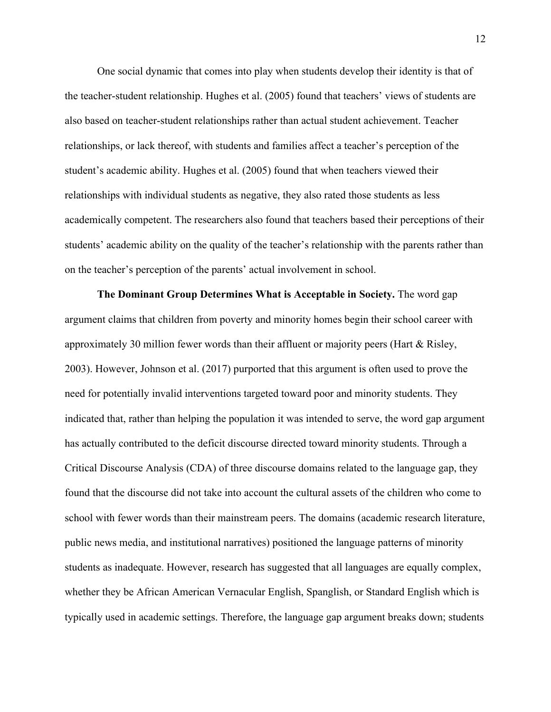One social dynamic that comes into play when students develop their identity is that of the teacher-student relationship. Hughes et al. (2005) found that teachers' views of students are also based on teacher-student relationships rather than actual student achievement. Teacher relationships, or lack thereof, with students and families affect a teacher's perception of the student's academic ability. Hughes et al. (2005) found that when teachers viewed their relationships with individual students as negative, they also rated those students as less academically competent. The researchers also found that teachers based their perceptions of their students' academic ability on the quality of the teacher's relationship with the parents rather than on the teacher's perception of the parents' actual involvement in school.

**The Dominant Group Determines What is Acceptable in Society.** The word gap argument claims that children from poverty and minority homes begin their school career with approximately 30 million fewer words than their affluent or majority peers (Hart  $\&$  Risley, 2003). However, Johnson et al. (2017) purported that this argument is often used to prove the need for potentially invalid interventions targeted toward poor and minority students. They indicated that, rather than helping the population it was intended to serve, the word gap argument has actually contributed to the deficit discourse directed toward minority students. Through a Critical Discourse Analysis (CDA) of three discourse domains related to the language gap, they found that the discourse did not take into account the cultural assets of the children who come to school with fewer words than their mainstream peers. The domains (academic research literature, public news media, and institutional narratives) positioned the language patterns of minority students as inadequate. However, research has suggested that all languages are equally complex, whether they be African American Vernacular English, Spanglish, or Standard English which is typically used in academic settings. Therefore, the language gap argument breaks down; students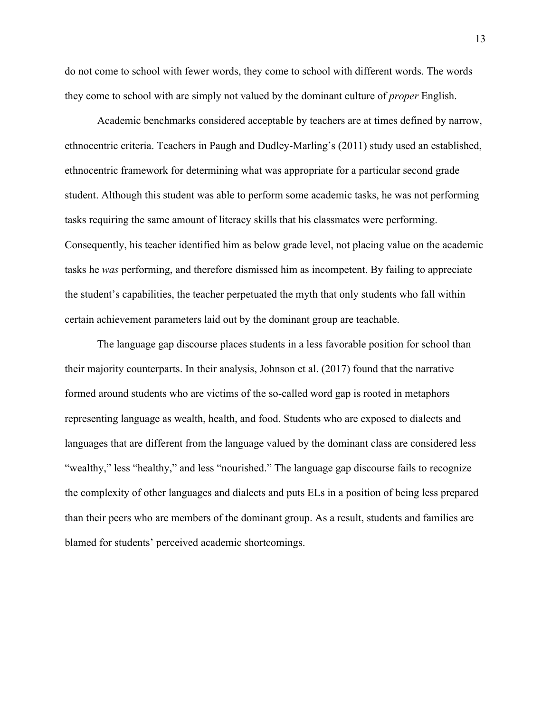do not come to school with fewer words, they come to school with different words. The words they come to school with are simply not valued by the dominant culture of *proper* English.

Academic benchmarks considered acceptable by teachers are at times defined by narrow, ethnocentric criteria. Teachers in Paugh and Dudley-Marling's (2011) study used an established, ethnocentric framework for determining what was appropriate for a particular second grade student. Although this student was able to perform some academic tasks, he was not performing tasks requiring the same amount of literacy skills that his classmates were performing. Consequently, his teacher identified him as below grade level, not placing value on the academic tasks he *was* performing, and therefore dismissed him as incompetent. By failing to appreciate the student's capabilities, the teacher perpetuated the myth that only students who fall within certain achievement parameters laid out by the dominant group are teachable.

The language gap discourse places students in a less favorable position for school than their majority counterparts. In their analysis, Johnson et al. (2017) found that the narrative formed around students who are victims of the so-called word gap is rooted in metaphors representing language as wealth, health, and food. Students who are exposed to dialects and languages that are different from the language valued by the dominant class are considered less "wealthy," less "healthy," and less "nourished." The language gap discourse fails to recognize the complexity of other languages and dialects and puts ELs in a position of being less prepared than their peers who are members of the dominant group. As a result, students and families are blamed for students' perceived academic shortcomings.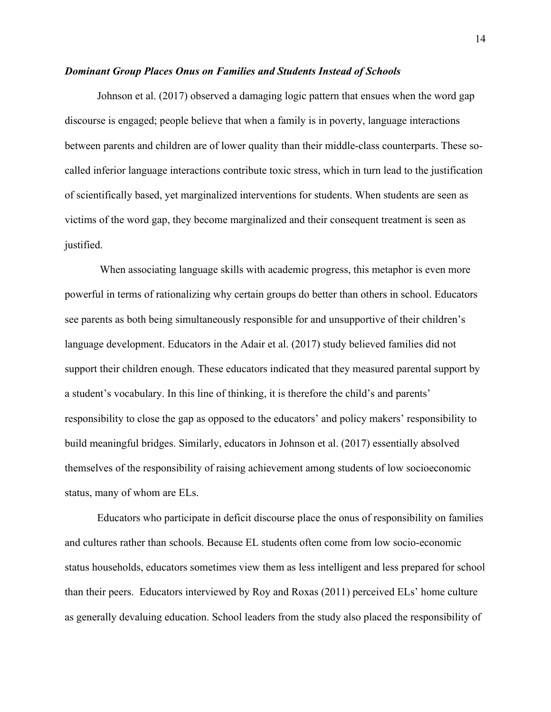#### *Dominant Group Places Onus on Families and Students Instead of Schools*

Johnson et al. (2017) observed a damaging logic pattern that ensues when the word gap discourse is engaged; people believe that when a family is in poverty, language interactions between parents and children are of lower quality than their middle-class counterparts. These socalled inferior language interactions contribute toxic stress, which in turn lead to the justification of scientifically based, yet marginalized interventions for students. When students are seen as victims of the word gap, they become marginalized and their consequent treatment is seen as justified.

When associating language skills with academic progress, this metaphor is even more powerful in terms of rationalizing why certain groups do better than others in school. Educators see parents as both being simultaneously responsible for and unsupportive of their children's language development. Educators in the Adair et al. (2017) study believed families did not support their children enough. These educators indicated that they measured parental support by a student's vocabulary. In this line of thinking, it is therefore the child's and parents' responsibility to close the gap as opposed to the educators' and policy makers' responsibility to build meaningful bridges. Similarly, educators in Johnson et al. (2017) essentially absolved themselves of the responsibility of raising achievement among students of low socioeconomic status, many of whom are ELs.

Educators who participate in deficit discourse place the onus of responsibility on families and cultures rather than schools. Because EL students often come from low socio-economic status households, educators sometimes view them as less intelligent and less prepared for school than their peers. Educators interviewed by Roy and Roxas (2011) perceived ELs' home culture as generally devaluing education. School leaders from the study also placed the responsibility of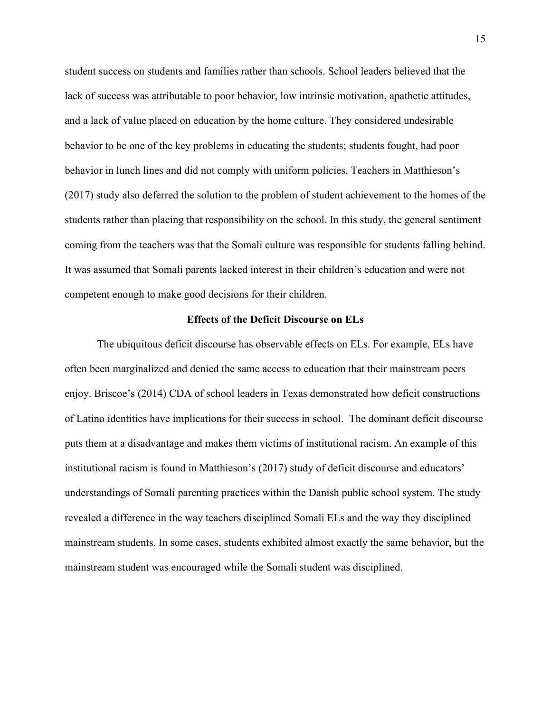student success on students and families rather than schools. School leaders believed that the lack of success was attributable to poor behavior, low intrinsic motivation, apathetic attitudes, and a lack of value placed on education by the home culture. They considered undesirable behavior to be one of the key problems in educating the students; students fought, had poor behavior in lunch lines and did not comply with uniform policies. Teachers in Matthieson's (2017) study also deferred the solution to the problem of student achievement to the homes of the students rather than placing that responsibility on the school. In this study, the general sentiment coming from the teachers was that the Somali culture was responsible for students falling behind. It was assumed that Somali parents lacked interest in their children's education and were not competent enough to make good decisions for their children.

#### **Effects of the Deficit Discourse on ELs**

The ubiquitous deficit discourse has observable effects on ELs. For example, ELs have often been marginalized and denied the same access to education that their mainstream peers enjoy. Briscoe's (2014) CDA of school leaders in Texas demonstrated how deficit constructions of Latino identities have implications for their success in school. The dominant deficit discourse puts them at a disadvantage and makes them victims of institutional racism. An example of this institutional racism is found in Matthieson's (2017) study of deficit discourse and educators' understandings of Somali parenting practices within the Danish public school system. The study revealed a difference in the way teachers disciplined Somali ELs and the way they disciplined mainstream students. In some cases, students exhibited almost exactly the same behavior, but the mainstream student was encouraged while the Somali student was disciplined.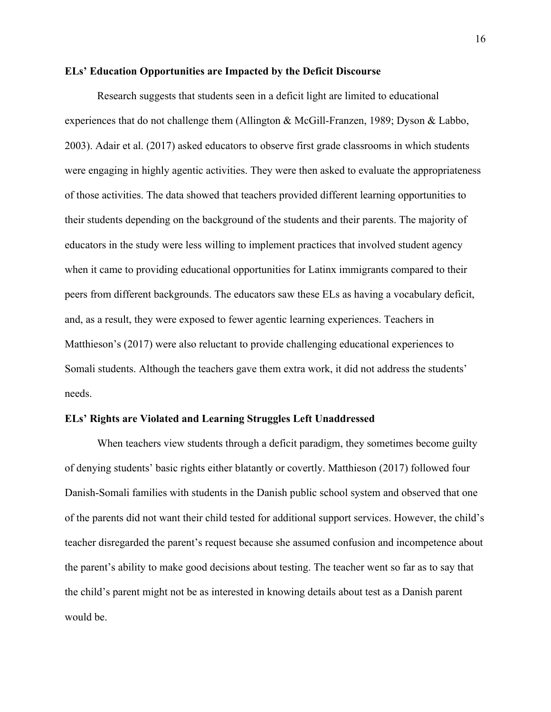#### **ELs' Education Opportunities are Impacted by the Deficit Discourse**

Research suggests that students seen in a deficit light are limited to educational experiences that do not challenge them (Allington & McGill-Franzen, 1989; Dyson & Labbo, 2003). Adair et al. (2017) asked educators to observe first grade classrooms in which students were engaging in highly agentic activities. They were then asked to evaluate the appropriateness of those activities. The data showed that teachers provided different learning opportunities to their students depending on the background of the students and their parents. The majority of educators in the study were less willing to implement practices that involved student agency when it came to providing educational opportunities for Latinx immigrants compared to their peers from different backgrounds. The educators saw these ELs as having a vocabulary deficit, and, as a result, they were exposed to fewer agentic learning experiences. Teachers in Matthieson's (2017) were also reluctant to provide challenging educational experiences to Somali students. Although the teachers gave them extra work, it did not address the students' needs.

#### **ELs' Rights are Violated and Learning Struggles Left Unaddressed**

When teachers view students through a deficit paradigm, they sometimes become guilty of denying students' basic rights either blatantly or covertly. Matthieson (2017) followed four Danish-Somali families with students in the Danish public school system and observed that one of the parents did not want their child tested for additional support services. However, the child's teacher disregarded the parent's request because she assumed confusion and incompetence about the parent's ability to make good decisions about testing. The teacher went so far as to say that the child's parent might not be as interested in knowing details about test as a Danish parent would be.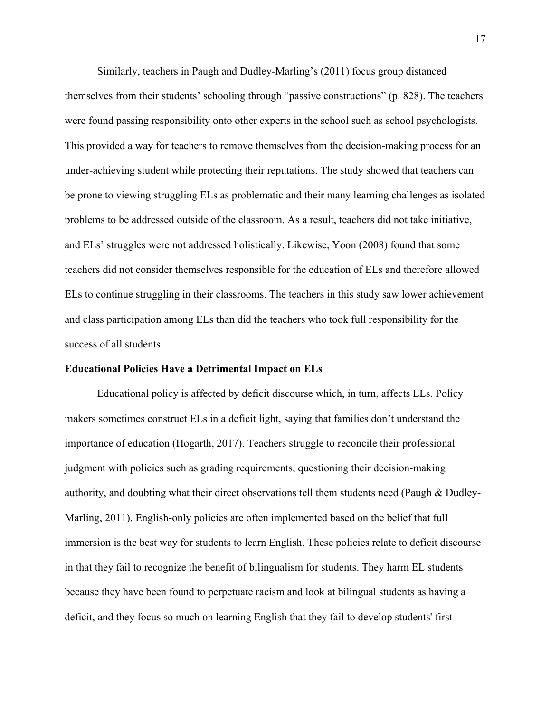Similarly, teachers in Paugh and Dudley-Marling's (2011) focus group distanced themselves from their students' schooling through "passive constructions" (p. 828). The teachers were found passing responsibility onto other experts in the school such as school psychologists. This provided a way for teachers to remove themselves from the decision-making process for an under-achieving student while protecting their reputations. The study showed that teachers can be prone to viewing struggling ELs as problematic and their many learning challenges as isolated problems to be addressed outside of the classroom. As a result, teachers did not take initiative, and ELs' struggles were not addressed holistically. Likewise, Yoon (2008) found that some teachers did not consider themselves responsible for the education of ELs and therefore allowed ELs to continue struggling in their classrooms. The teachers in this study saw lower achievement and class participation among ELs than did the teachers who took full responsibility for the success of all students.

#### **Educational Policies Have a Detrimental Impact on ELs**

Educational policy is affected by deficit discourse which, in turn, affects ELs. Policy makers sometimes construct ELs in a deficit light, saying that families don't understand the importance of education (Hogarth, 2017). Teachers struggle to reconcile their professional judgment with policies such as grading requirements, questioning their decision-making authority, and doubting what their direct observations tell them students need (Paugh & Dudley-Marling, 2011). English-only policies are often implemented based on the belief that full immersion is the best way for students to learn English. These policies relate to deficit discourse in that they fail to recognize the benefit of bilingualism for students. They harm EL students because they have been found to perpetuate racism and look at bilingual students as having a deficit, and they focus so much on learning English that they fail to develop students' first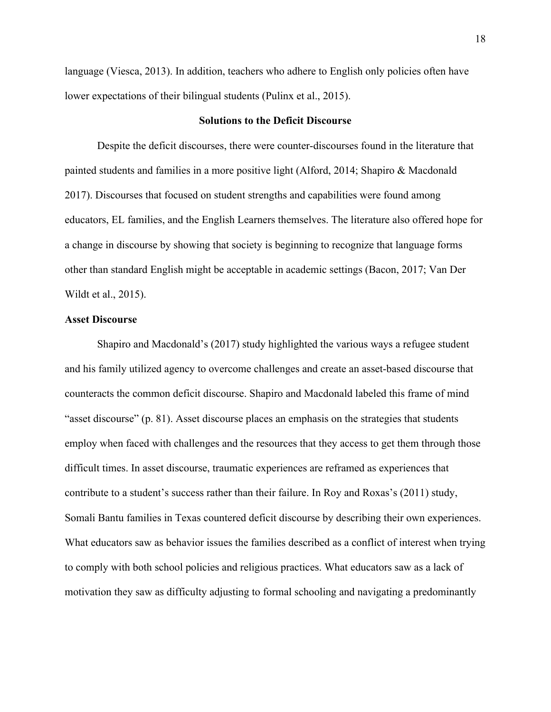language (Viesca, 2013). In addition, teachers who adhere to English only policies often have lower expectations of their bilingual students (Pulinx et al., 2015).

#### **Solutions to the Deficit Discourse**

Despite the deficit discourses, there were counter-discourses found in the literature that painted students and families in a more positive light (Alford, 2014; Shapiro & Macdonald 2017). Discourses that focused on student strengths and capabilities were found among educators, EL families, and the English Learners themselves. The literature also offered hope for a change in discourse by showing that society is beginning to recognize that language forms other than standard English might be acceptable in academic settings (Bacon, 2017; Van Der Wildt et al., 2015).

#### **Asset Discourse**

Shapiro and Macdonald's (2017) study highlighted the various ways a refugee student and his family utilized agency to overcome challenges and create an asset-based discourse that counteracts the common deficit discourse. Shapiro and Macdonald labeled this frame of mind "asset discourse" (p. 81). Asset discourse places an emphasis on the strategies that students employ when faced with challenges and the resources that they access to get them through those difficult times. In asset discourse, traumatic experiences are reframed as experiences that contribute to a student's success rather than their failure. In Roy and Roxas's (2011) study, Somali Bantu families in Texas countered deficit discourse by describing their own experiences. What educators saw as behavior issues the families described as a conflict of interest when trying to comply with both school policies and religious practices. What educators saw as a lack of motivation they saw as difficulty adjusting to formal schooling and navigating a predominantly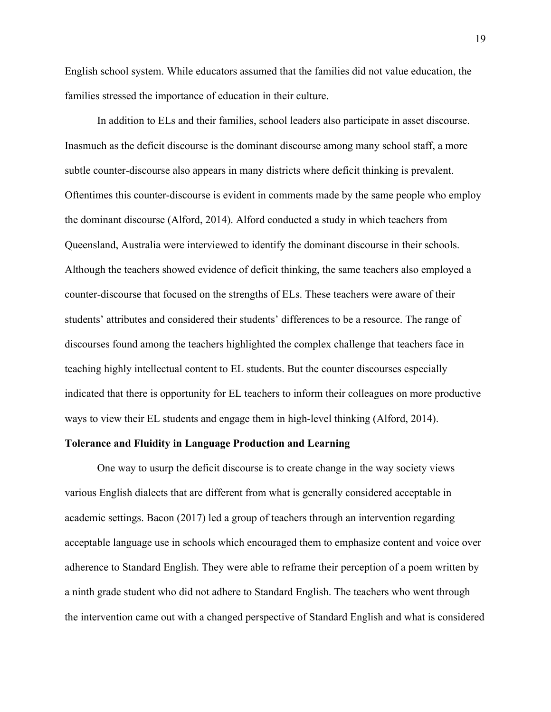English school system. While educators assumed that the families did not value education, the families stressed the importance of education in their culture.

In addition to ELs and their families, school leaders also participate in asset discourse. Inasmuch as the deficit discourse is the dominant discourse among many school staff, a more subtle counter-discourse also appears in many districts where deficit thinking is prevalent. Oftentimes this counter-discourse is evident in comments made by the same people who employ the dominant discourse (Alford, 2014). Alford conducted a study in which teachers from Queensland, Australia were interviewed to identify the dominant discourse in their schools. Although the teachers showed evidence of deficit thinking, the same teachers also employed a counter-discourse that focused on the strengths of ELs. These teachers were aware of their students' attributes and considered their students' differences to be a resource. The range of discourses found among the teachers highlighted the complex challenge that teachers face in teaching highly intellectual content to EL students. But the counter discourses especially indicated that there is opportunity for EL teachers to inform their colleagues on more productive ways to view their EL students and engage them in high-level thinking (Alford, 2014).

#### **Tolerance and Fluidity in Language Production and Learning**

One way to usurp the deficit discourse is to create change in the way society views various English dialects that are different from what is generally considered acceptable in academic settings. Bacon (2017) led a group of teachers through an intervention regarding acceptable language use in schools which encouraged them to emphasize content and voice over adherence to Standard English. They were able to reframe their perception of a poem written by a ninth grade student who did not adhere to Standard English. The teachers who went through the intervention came out with a changed perspective of Standard English and what is considered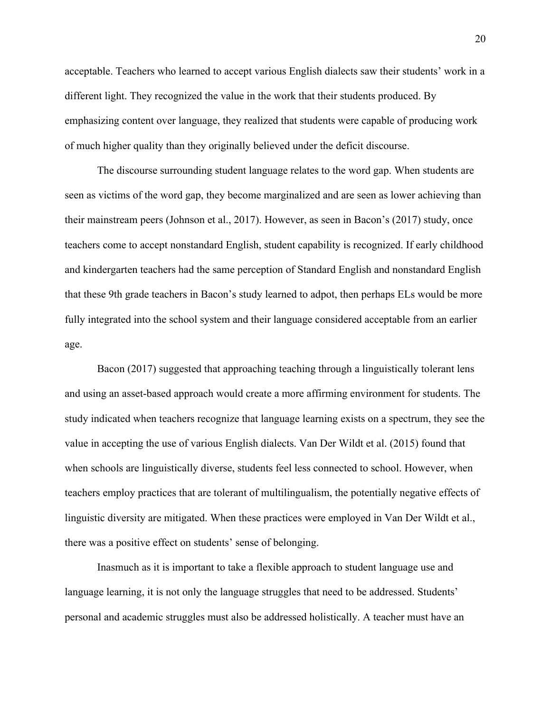acceptable. Teachers who learned to accept various English dialects saw their students' work in a different light. They recognized the value in the work that their students produced. By emphasizing content over language, they realized that students were capable of producing work of much higher quality than they originally believed under the deficit discourse.

The discourse surrounding student language relates to the word gap. When students are seen as victims of the word gap, they become marginalized and are seen as lower achieving than their mainstream peers (Johnson et al., 2017). However, as seen in Bacon's (2017) study, once teachers come to accept nonstandard English, student capability is recognized. If early childhood and kindergarten teachers had the same perception of Standard English and nonstandard English that these 9th grade teachers in Bacon's study learned to adpot, then perhaps ELs would be more fully integrated into the school system and their language considered acceptable from an earlier age.

Bacon (2017) suggested that approaching teaching through a linguistically tolerant lens and using an asset-based approach would create a more affirming environment for students. The study indicated when teachers recognize that language learning exists on a spectrum, they see the value in accepting the use of various English dialects. Van Der Wildt et al. (2015) found that when schools are linguistically diverse, students feel less connected to school. However, when teachers employ practices that are tolerant of multilingualism, the potentially negative effects of linguistic diversity are mitigated. When these practices were employed in Van Der Wildt et al., there was a positive effect on students' sense of belonging.

Inasmuch as it is important to take a flexible approach to student language use and language learning, it is not only the language struggles that need to be addressed. Students' personal and academic struggles must also be addressed holistically. A teacher must have an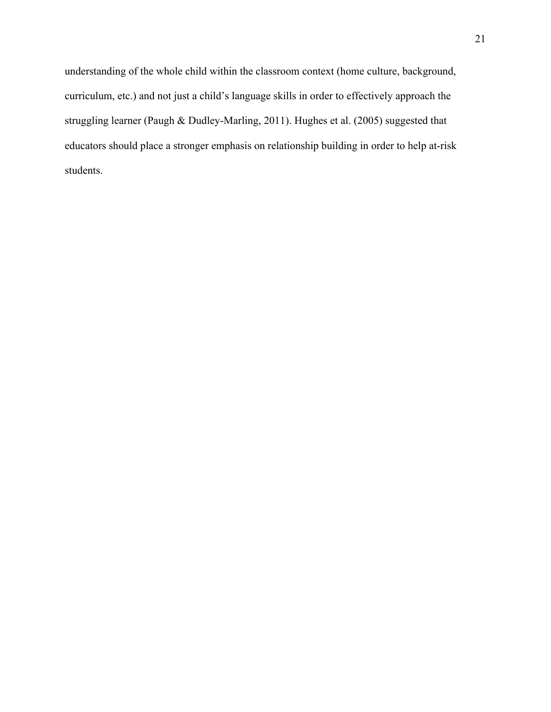understanding of the whole child within the classroom context (home culture, background, curriculum, etc.) and not just a child's language skills in order to effectively approach the struggling learner (Paugh & Dudley-Marling, 2011). Hughes et al. (2005) suggested that educators should place a stronger emphasis on relationship building in order to help at-risk students.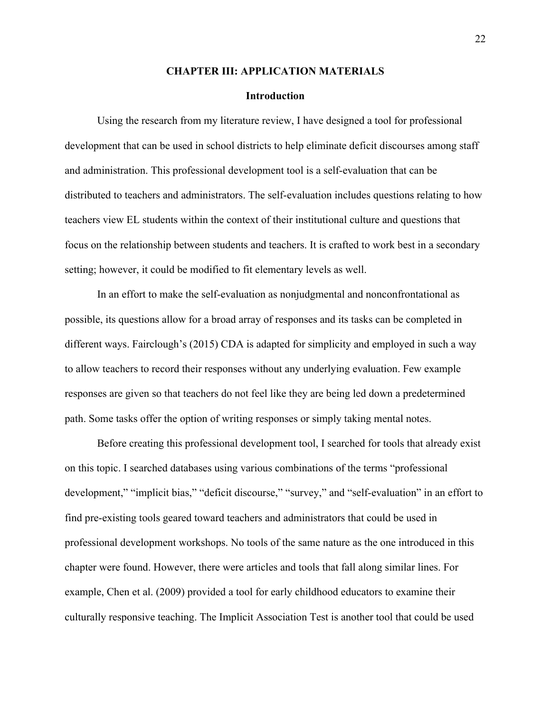#### **CHAPTER III: APPLICATION MATERIALS**

#### **Introduction**

Using the research from my literature review, I have designed a tool for professional development that can be used in school districts to help eliminate deficit discourses among staff and administration. This professional development tool is a self-evaluation that can be distributed to teachers and administrators. The self-evaluation includes questions relating to how teachers view EL students within the context of their institutional culture and questions that focus on the relationship between students and teachers. It is crafted to work best in a secondary setting; however, it could be modified to fit elementary levels as well.

In an effort to make the self-evaluation as nonjudgmental and nonconfrontational as possible, its questions allow for a broad array of responses and its tasks can be completed in different ways. Fairclough's (2015) CDA is adapted for simplicity and employed in such a way to allow teachers to record their responses without any underlying evaluation. Few example responses are given so that teachers do not feel like they are being led down a predetermined path. Some tasks offer the option of writing responses or simply taking mental notes.

Before creating this professional development tool, I searched for tools that already exist on this topic. I searched databases using various combinations of the terms "professional development," "implicit bias," "deficit discourse," "survey," and "self-evaluation" in an effort to find pre-existing tools geared toward teachers and administrators that could be used in professional development workshops. No tools of the same nature as the one introduced in this chapter were found. However, there were articles and tools that fall along similar lines. For example, Chen et al. (2009) provided a tool for early childhood educators to examine their culturally responsive teaching. The Implicit Association Test is another tool that could be used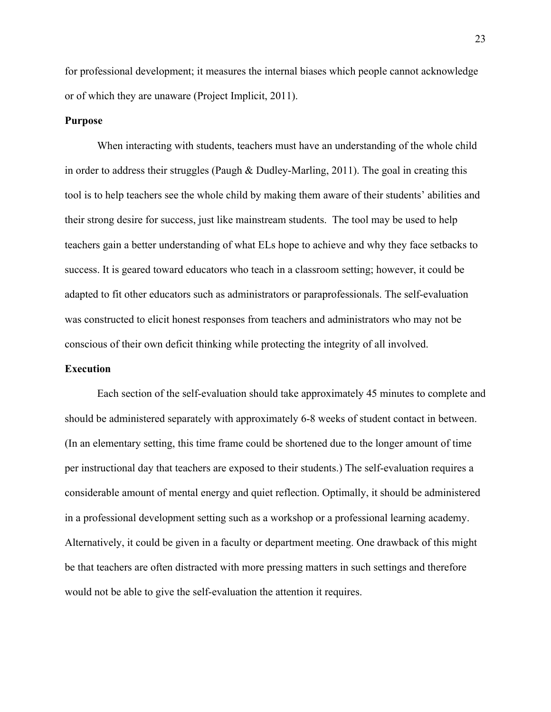for professional development; it measures the internal biases which people cannot acknowledge or of which they are unaware (Project Implicit, 2011).

#### **Purpose**

When interacting with students, teachers must have an understanding of the whole child in order to address their struggles (Paugh & Dudley-Marling, 2011). The goal in creating this tool is to help teachers see the whole child by making them aware of their students' abilities and their strong desire for success, just like mainstream students. The tool may be used to help teachers gain a better understanding of what ELs hope to achieve and why they face setbacks to success. It is geared toward educators who teach in a classroom setting; however, it could be adapted to fit other educators such as administrators or paraprofessionals. The self-evaluation was constructed to elicit honest responses from teachers and administrators who may not be conscious of their own deficit thinking while protecting the integrity of all involved.

#### **Execution**

Each section of the self-evaluation should take approximately 45 minutes to complete and should be administered separately with approximately 6-8 weeks of student contact in between. (In an elementary setting, this time frame could be shortened due to the longer amount of time per instructional day that teachers are exposed to their students.) The self-evaluation requires a considerable amount of mental energy and quiet reflection. Optimally, it should be administered in a professional development setting such as a workshop or a professional learning academy. Alternatively, it could be given in a faculty or department meeting. One drawback of this might be that teachers are often distracted with more pressing matters in such settings and therefore would not be able to give the self-evaluation the attention it requires.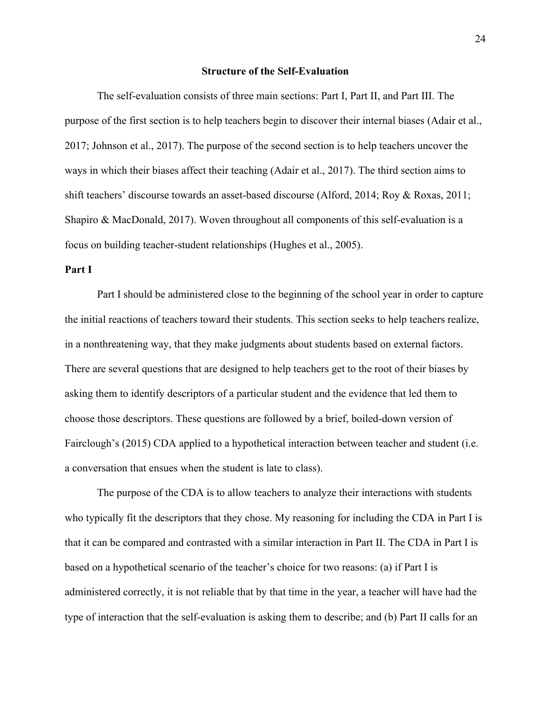#### **Structure of the Self-Evaluation**

The self-evaluation consists of three main sections: Part I, Part II, and Part III. The purpose of the first section is to help teachers begin to discover their internal biases (Adair et al., 2017; Johnson et al., 2017). The purpose of the second section is to help teachers uncover the ways in which their biases affect their teaching (Adair et al., 2017). The third section aims to shift teachers' discourse towards an asset-based discourse (Alford, 2014; Roy & Roxas, 2011; Shapiro & MacDonald, 2017). Woven throughout all components of this self-evaluation is a focus on building teacher-student relationships (Hughes et al., 2005).

#### **Part I**

Part I should be administered close to the beginning of the school year in order to capture the initial reactions of teachers toward their students. This section seeks to help teachers realize, in a nonthreatening way, that they make judgments about students based on external factors. There are several questions that are designed to help teachers get to the root of their biases by asking them to identify descriptors of a particular student and the evidence that led them to choose those descriptors. These questions are followed by a brief, boiled-down version of Fairclough's (2015) CDA applied to a hypothetical interaction between teacher and student (i.e. a conversation that ensues when the student is late to class).

The purpose of the CDA is to allow teachers to analyze their interactions with students who typically fit the descriptors that they chose. My reasoning for including the CDA in Part I is that it can be compared and contrasted with a similar interaction in Part II. The CDA in Part I is based on a hypothetical scenario of the teacher's choice for two reasons: (a) if Part I is administered correctly, it is not reliable that by that time in the year, a teacher will have had the type of interaction that the self-evaluation is asking them to describe; and (b) Part II calls for an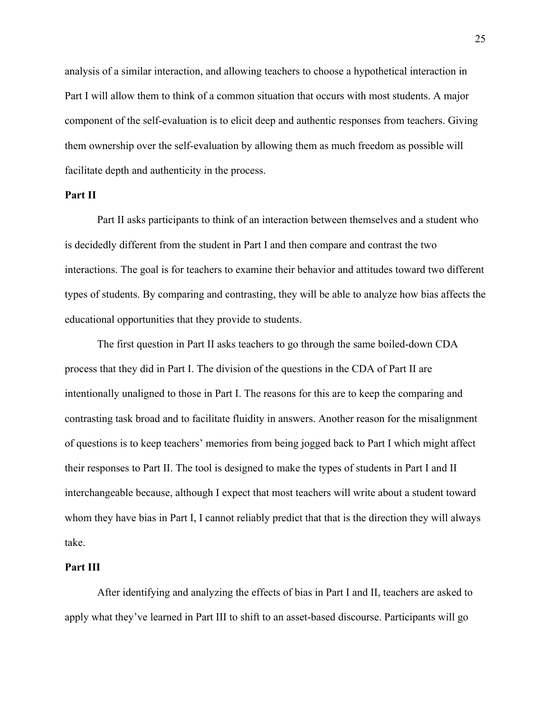analysis of a similar interaction, and allowing teachers to choose a hypothetical interaction in Part I will allow them to think of a common situation that occurs with most students. A major component of the self-evaluation is to elicit deep and authentic responses from teachers. Giving them ownership over the self-evaluation by allowing them as much freedom as possible will facilitate depth and authenticity in the process.

#### **Part II**

Part II asks participants to think of an interaction between themselves and a student who is decidedly different from the student in Part I and then compare and contrast the two interactions. The goal is for teachers to examine their behavior and attitudes toward two different types of students. By comparing and contrasting, they will be able to analyze how bias affects the educational opportunities that they provide to students.

The first question in Part II asks teachers to go through the same boiled-down CDA process that they did in Part I. The division of the questions in the CDA of Part II are intentionally unaligned to those in Part I. The reasons for this are to keep the comparing and contrasting task broad and to facilitate fluidity in answers. Another reason for the misalignment of questions is to keep teachers' memories from being jogged back to Part I which might affect their responses to Part II. The tool is designed to make the types of students in Part I and II interchangeable because, although I expect that most teachers will write about a student toward whom they have bias in Part I, I cannot reliably predict that that is the direction they will always take.

#### **Part III**

After identifying and analyzing the effects of bias in Part I and II, teachers are asked to apply what they've learned in Part III to shift to an asset-based discourse. Participants will go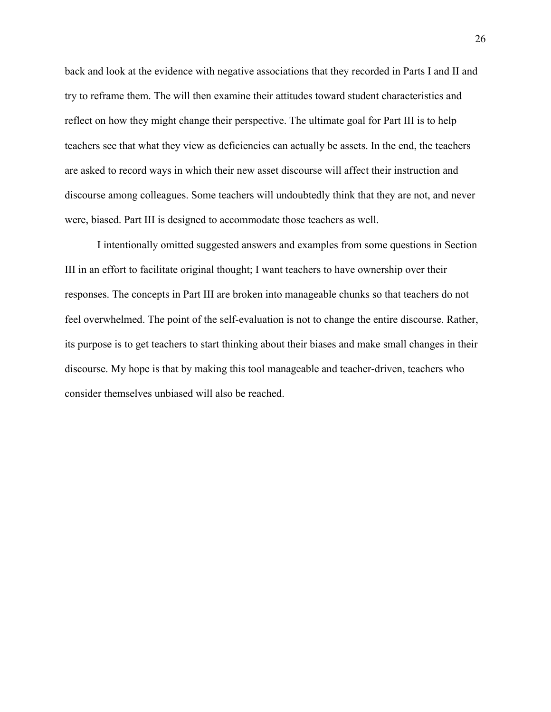back and look at the evidence with negative associations that they recorded in Parts I and II and try to reframe them. The will then examine their attitudes toward student characteristics and reflect on how they might change their perspective. The ultimate goal for Part III is to help teachers see that what they view as deficiencies can actually be assets. In the end, the teachers are asked to record ways in which their new asset discourse will affect their instruction and discourse among colleagues. Some teachers will undoubtedly think that they are not, and never were, biased. Part III is designed to accommodate those teachers as well.

I intentionally omitted suggested answers and examples from some questions in Section III in an effort to facilitate original thought; I want teachers to have ownership over their responses. The concepts in Part III are broken into manageable chunks so that teachers do not feel overwhelmed. The point of the self-evaluation is not to change the entire discourse. Rather, its purpose is to get teachers to start thinking about their biases and make small changes in their discourse. My hope is that by making this tool manageable and teacher-driven, teachers who consider themselves unbiased will also be reached.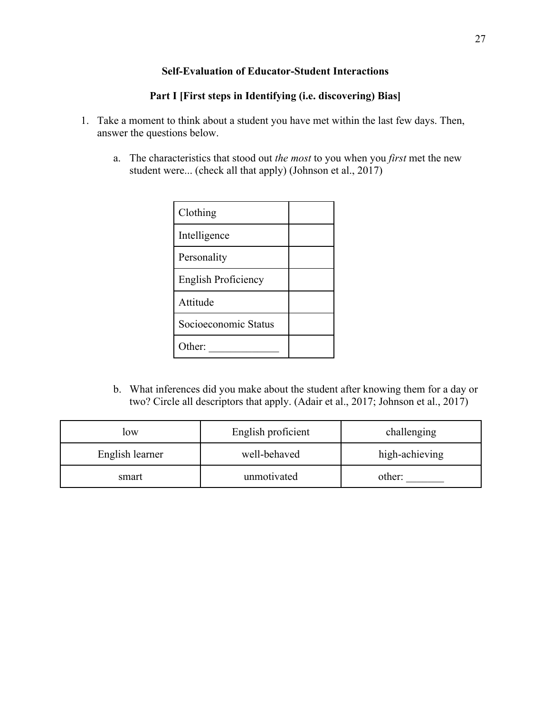## **Self-Evaluation of Educator-Student Interactions**

## **Part I [First steps in Identifying (i.e. discovering) Bias]**

- 1. Take a moment to think about a student you have met within the last few days. Then, answer the questions below.
	- a. The characteristics that stood out *the most* to you when you *first* met the new student were... (check all that apply) (Johnson et al., 2017)

| Clothing             |  |
|----------------------|--|
| Intelligence         |  |
| Personality          |  |
| English Proficiency  |  |
| Attitude             |  |
| Socioeconomic Status |  |
| Other:               |  |

b. What inferences did you make about the student after knowing them for a day or two? Circle all descriptors that apply. (Adair et al., 2017; Johnson et al., 2017)

| low             | English proficient | challenging    |
|-----------------|--------------------|----------------|
| English learner | well-behaved       | high-achieving |
| smart           | unmotivated        | other:         |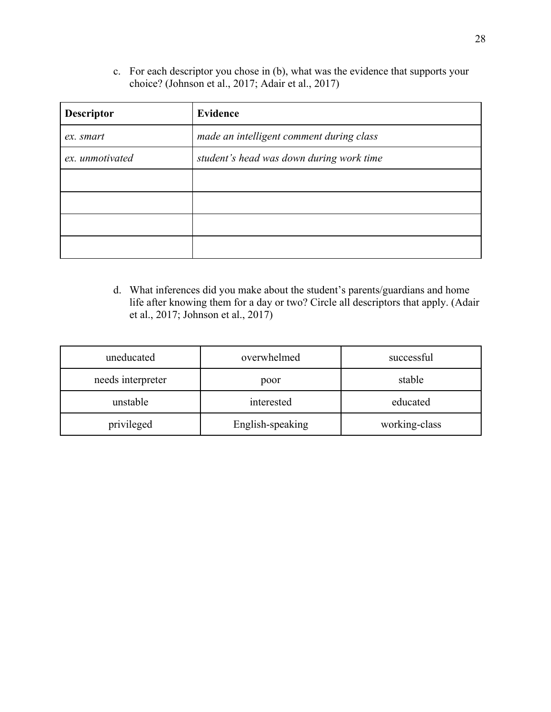c. For each descriptor you chose in (b), what was the evidence that supports your choice? (Johnson et al., 2017; Adair et al., 2017)

| <b>Descriptor</b> | <b>Evidence</b>                          |
|-------------------|------------------------------------------|
| ex. smart         | made an intelligent comment during class |
| ex. unmotivated   | student's head was down during work time |
|                   |                                          |
|                   |                                          |
|                   |                                          |
|                   |                                          |

d. What inferences did you make about the student's parents/guardians and home life after knowing them for a day or two? Circle all descriptors that apply. (Adair et al., 2017; Johnson et al., 2017)

| uneducated        | overwhelmed      | successful    |
|-------------------|------------------|---------------|
| needs interpreter | poor             | stable        |
| unstable          | interested       | educated      |
| privileged        | English-speaking | working-class |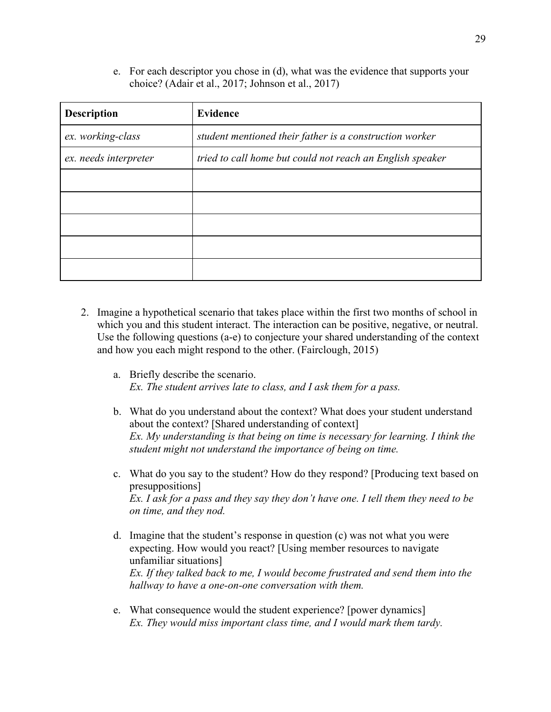e. For each descriptor you chose in (d), what was the evidence that supports your choice? (Adair et al., 2017; Johnson et al., 2017)

| <b>Description</b>    | <b>Evidence</b>                                           |
|-----------------------|-----------------------------------------------------------|
| ex. working-class     | student mentioned their father is a construction worker   |
| ex. needs interpreter | tried to call home but could not reach an English speaker |
|                       |                                                           |
|                       |                                                           |
|                       |                                                           |
|                       |                                                           |
|                       |                                                           |

- 2. Imagine a hypothetical scenario that takes place within the first two months of school in which you and this student interact. The interaction can be positive, negative, or neutral. Use the following questions (a-e) to conjecture your shared understanding of the context and how you each might respond to the other. (Fairclough, 2015)
	- a. Briefly describe the scenario. *Ex. The student arrives late to class, and I ask them for a pass.*
	- b. What do you understand about the context? What does your student understand about the context? [Shared understanding of context] *Ex. My understanding is that being on time is necessary for learning. I think the student might not understand the importance of being on time.*
	- c. What do you say to the student? How do they respond? [Producing text based on presuppositions] *Ex. I ask for a pass and they say they don't have one. I tell them they need to be on time, and they nod.*
	- d. Imagine that the student's response in question (c) was not what you were expecting. How would you react? [Using member resources to navigate unfamiliar situations] *Ex. If they talked back to me, I would become frustrated and send them into the hallway to have a one-on-one conversation with them.*
	- e. What consequence would the student experience? [power dynamics] *Ex. They would miss important class time, and I would mark them tardy.*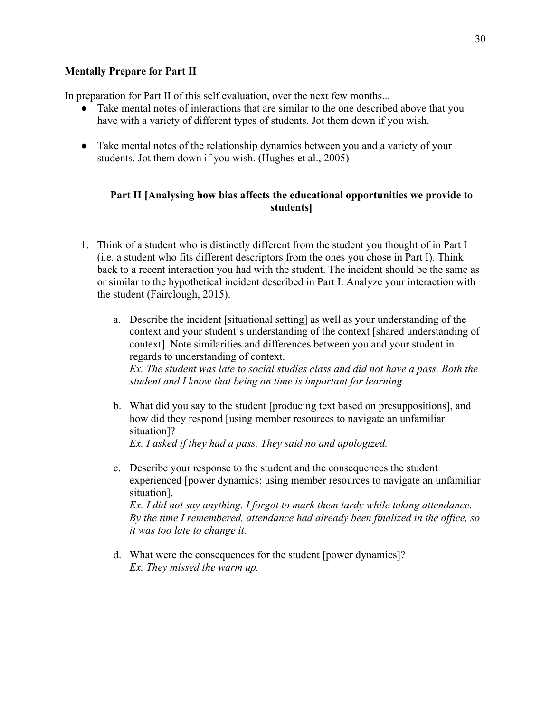## **Mentally Prepare for Part II**

In preparation for Part II of this self evaluation, over the next few months...

- Take mental notes of interactions that are similar to the one described above that you have with a variety of different types of students. Jot them down if you wish.
- Take mental notes of the relationship dynamics between you and a variety of your students. Jot them down if you wish. (Hughes et al., 2005)

## **Part II [Analysing how bias affects the educational opportunities we provide to students]**

- 1. Think of a student who is distinctly different from the student you thought of in Part I (i.e. a student who fits different descriptors from the ones you chose in Part I). Think back to a recent interaction you had with the student. The incident should be the same as or similar to the hypothetical incident described in Part I. Analyze your interaction with the student (Fairclough, 2015).
	- a. Describe the incident [situational setting] as well as your understanding of the context and your student's understanding of the context [shared understanding of context]. Note similarities and differences between you and your student in regards to understanding of context. *Ex. The student was late to social studies class and did not have a pass. Both the student and I know that being on time is important for learning.*
	- b. What did you say to the student [producing text based on presuppositions], and how did they respond [using member resources to navigate an unfamiliar situation]? *Ex. I asked if they had a pass. They said no and apologized.*
	- c. Describe your response to the student and the consequences the student experienced [power dynamics; using member resources to navigate an unfamiliar situation]. *Ex. I did not say anything. I forgot to mark them tardy while taking attendance.*

*By the time I remembered, attendance had already been finalized in the office, so it was too late to change it.*

d. What were the consequences for the student [power dynamics]? *Ex. They missed the warm up.*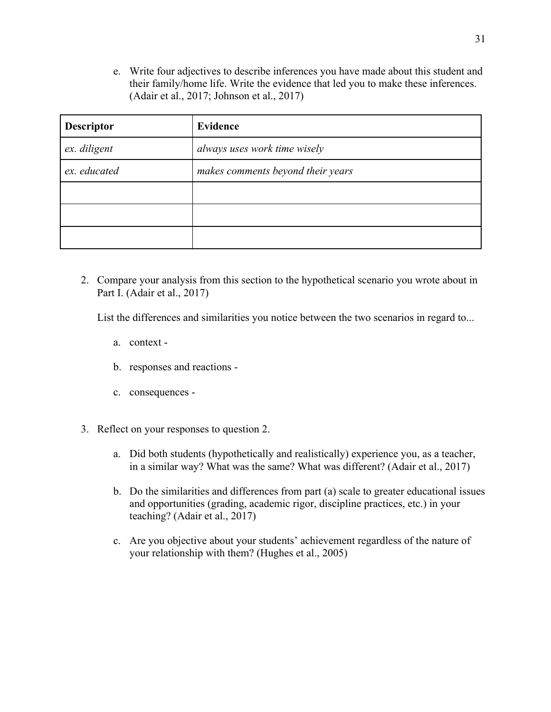e. Write four adjectives to describe inferences you have made about this student and their family/home life. Write the evidence that led you to make these inferences. (Adair et al., 2017; Johnson et al., 2017)

| <b>Descriptor</b> | <b>Evidence</b>                   |
|-------------------|-----------------------------------|
| ex. diligent      | always uses work time wisely      |
| ex. educated      | makes comments beyond their years |
|                   |                                   |
|                   |                                   |
|                   |                                   |

2. Compare your analysis from this section to the hypothetical scenario you wrote about in Part I. (Adair et al., 2017)

List the differences and similarities you notice between the two scenarios in regard to...

- a. context -
- b. responses and reactions -
- c. consequences -
- 3. Reflect on your responses to question 2.
	- a. Did both students (hypothetically and realistically) experience you, as a teacher, in a similar way? What was the same? What was different? (Adair et al., 2017)
	- b. Do the similarities and differences from part (a) scale to greater educational issues and opportunities (grading, academic rigor, discipline practices, etc.) in your teaching? (Adair et al., 2017)
	- c. Are you objective about your students' achievement regardless of the nature of your relationship with them? (Hughes et al., 2005)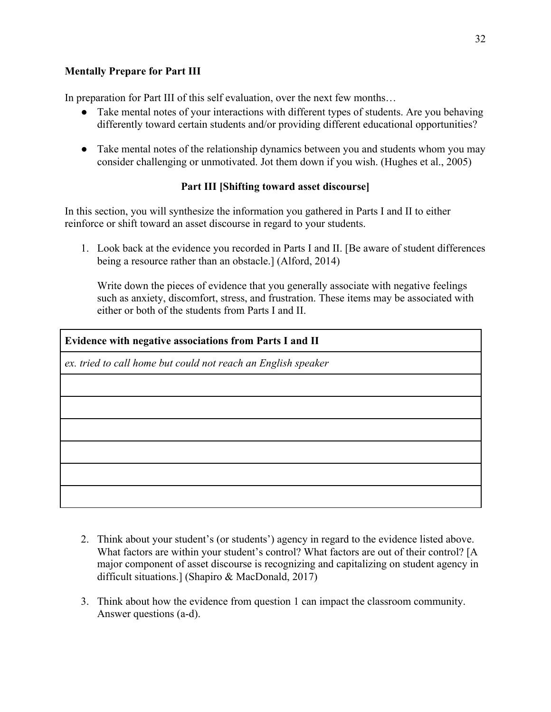## **Mentally Prepare for Part III**

In preparation for Part III of this self evaluation, over the next few months...

- Take mental notes of your interactions with different types of students. Are you behaving differently toward certain students and/or providing different educational opportunities?
- Take mental notes of the relationship dynamics between you and students whom you may consider challenging or unmotivated. Jot them down if you wish. (Hughes et al., 2005)

## **Part III [Shifting toward asset discourse]**

In this section, you will synthesize the information you gathered in Parts I and II to either reinforce or shift toward an asset discourse in regard to your students.

1. Look back at the evidence you recorded in Parts I and II. [Be aware of student differences being a resource rather than an obstacle.] (Alford, 2014)

Write down the pieces of evidence that you generally associate with negative feelings such as anxiety, discomfort, stress, and frustration. These items may be associated with either or both of the students from Parts I and II.

**Evidence with negative associations from Parts I and II** *ex. tried to call home but could not reach an English speaker*

- 2. Think about your student's (or students') agency in regard to the evidence listed above. What factors are within your student's control? What factors are out of their control? [A major component of asset discourse is recognizing and capitalizing on student agency in difficult situations.] (Shapiro & MacDonald, 2017)
- 3. Think about how the evidence from question 1 can impact the classroom community. Answer questions (a-d).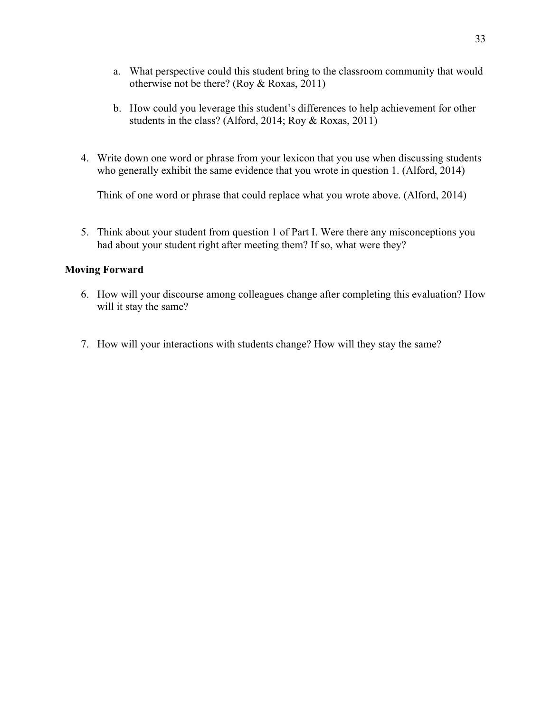- a. What perspective could this student bring to the classroom community that would otherwise not be there? (Roy & Roxas, 2011)
- b. How could you leverage this student's differences to help achievement for other students in the class? (Alford, 2014; Roy & Roxas, 2011)
- 4. Write down one word or phrase from your lexicon that you use when discussing students who generally exhibit the same evidence that you wrote in question 1. (Alford, 2014)

Think of one word or phrase that could replace what you wrote above. (Alford, 2014)

5. Think about your student from question 1 of Part I. Were there any misconceptions you had about your student right after meeting them? If so, what were they?

#### **Moving Forward**

- 6. How will your discourse among colleagues change after completing this evaluation? How will it stay the same?
- 7. How will your interactions with students change? How will they stay the same?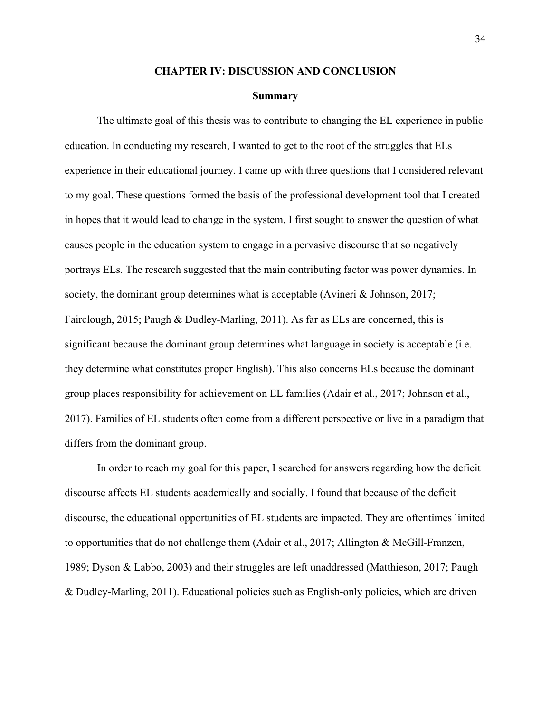#### **CHAPTER IV: DISCUSSION AND CONCLUSION**

#### **Summary**

The ultimate goal of this thesis was to contribute to changing the EL experience in public education. In conducting my research, I wanted to get to the root of the struggles that ELs experience in their educational journey. I came up with three questions that I considered relevant to my goal. These questions formed the basis of the professional development tool that I created in hopes that it would lead to change in the system. I first sought to answer the question of what causes people in the education system to engage in a pervasive discourse that so negatively portrays ELs. The research suggested that the main contributing factor was power dynamics. In society, the dominant group determines what is acceptable (Avineri & Johnson, 2017; Fairclough, 2015; Paugh & Dudley-Marling, 2011). As far as ELs are concerned, this is significant because the dominant group determines what language in society is acceptable (i.e. they determine what constitutes proper English). This also concerns ELs because the dominant group places responsibility for achievement on EL families (Adair et al., 2017; Johnson et al., 2017). Families of EL students often come from a different perspective or live in a paradigm that differs from the dominant group.

In order to reach my goal for this paper, I searched for answers regarding how the deficit discourse affects EL students academically and socially. I found that because of the deficit discourse, the educational opportunities of EL students are impacted. They are oftentimes limited to opportunities that do not challenge them (Adair et al., 2017; Allington & McGill-Franzen, 1989; Dyson & Labbo, 2003) and their struggles are left unaddressed (Matthieson, 2017; Paugh & Dudley-Marling, 2011). Educational policies such as English-only policies, which are driven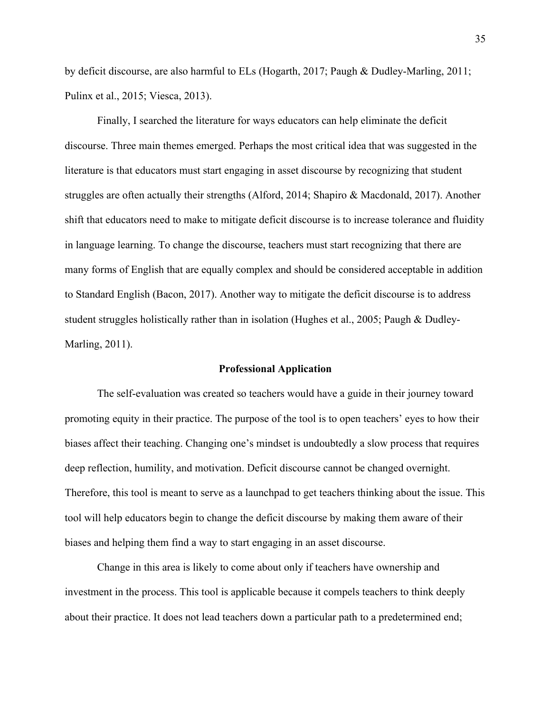by deficit discourse, are also harmful to ELs (Hogarth, 2017; Paugh & Dudley-Marling, 2011; Pulinx et al., 2015; Viesca, 2013).

Finally, I searched the literature for ways educators can help eliminate the deficit discourse. Three main themes emerged. Perhaps the most critical idea that was suggested in the literature is that educators must start engaging in asset discourse by recognizing that student struggles are often actually their strengths (Alford, 2014; Shapiro & Macdonald, 2017). Another shift that educators need to make to mitigate deficit discourse is to increase tolerance and fluidity in language learning. To change the discourse, teachers must start recognizing that there are many forms of English that are equally complex and should be considered acceptable in addition to Standard English (Bacon, 2017). Another way to mitigate the deficit discourse is to address student struggles holistically rather than in isolation (Hughes et al., 2005; Paugh & Dudley-Marling, 2011).

#### **Professional Application**

The self-evaluation was created so teachers would have a guide in their journey toward promoting equity in their practice. The purpose of the tool is to open teachers' eyes to how their biases affect their teaching. Changing one's mindset is undoubtedly a slow process that requires deep reflection, humility, and motivation. Deficit discourse cannot be changed overnight. Therefore, this tool is meant to serve as a launchpad to get teachers thinking about the issue. This tool will help educators begin to change the deficit discourse by making them aware of their biases and helping them find a way to start engaging in an asset discourse.

Change in this area is likely to come about only if teachers have ownership and investment in the process. This tool is applicable because it compels teachers to think deeply about their practice. It does not lead teachers down a particular path to a predetermined end;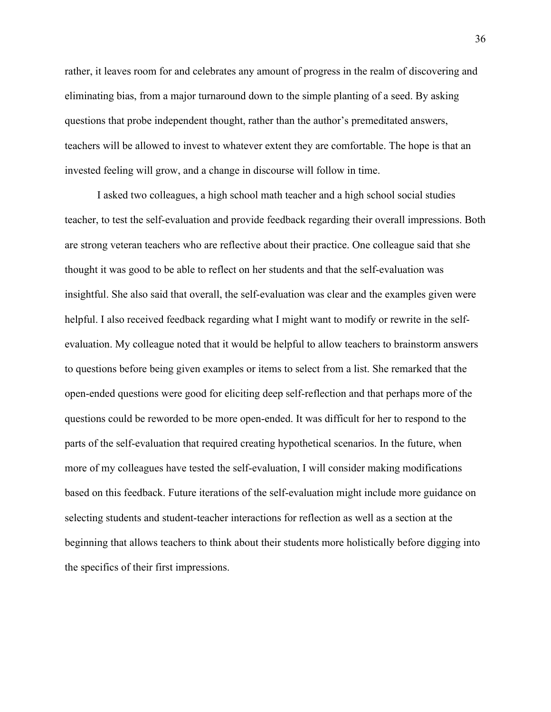rather, it leaves room for and celebrates any amount of progress in the realm of discovering and eliminating bias, from a major turnaround down to the simple planting of a seed. By asking questions that probe independent thought, rather than the author's premeditated answers, teachers will be allowed to invest to whatever extent they are comfortable. The hope is that an invested feeling will grow, and a change in discourse will follow in time.

I asked two colleagues, a high school math teacher and a high school social studies teacher, to test the self-evaluation and provide feedback regarding their overall impressions. Both are strong veteran teachers who are reflective about their practice. One colleague said that she thought it was good to be able to reflect on her students and that the self-evaluation was insightful. She also said that overall, the self-evaluation was clear and the examples given were helpful. I also received feedback regarding what I might want to modify or rewrite in the selfevaluation. My colleague noted that it would be helpful to allow teachers to brainstorm answers to questions before being given examples or items to select from a list. She remarked that the open-ended questions were good for eliciting deep self-reflection and that perhaps more of the questions could be reworded to be more open-ended. It was difficult for her to respond to the parts of the self-evaluation that required creating hypothetical scenarios. In the future, when more of my colleagues have tested the self-evaluation, I will consider making modifications based on this feedback. Future iterations of the self-evaluation might include more guidance on selecting students and student-teacher interactions for reflection as well as a section at the beginning that allows teachers to think about their students more holistically before digging into the specifics of their first impressions.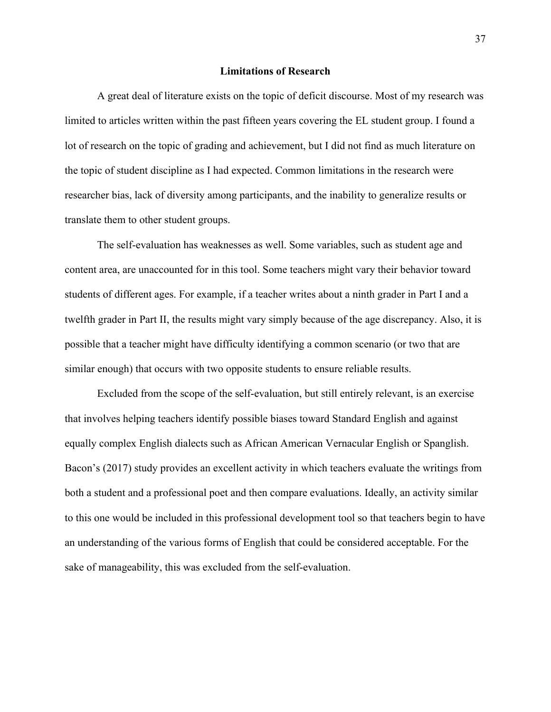#### **Limitations of Research**

A great deal of literature exists on the topic of deficit discourse. Most of my research was limited to articles written within the past fifteen years covering the EL student group. I found a lot of research on the topic of grading and achievement, but I did not find as much literature on the topic of student discipline as I had expected. Common limitations in the research were researcher bias, lack of diversity among participants, and the inability to generalize results or translate them to other student groups.

The self-evaluation has weaknesses as well. Some variables, such as student age and content area, are unaccounted for in this tool. Some teachers might vary their behavior toward students of different ages. For example, if a teacher writes about a ninth grader in Part I and a twelfth grader in Part II, the results might vary simply because of the age discrepancy. Also, it is possible that a teacher might have difficulty identifying a common scenario (or two that are similar enough) that occurs with two opposite students to ensure reliable results.

Excluded from the scope of the self-evaluation, but still entirely relevant, is an exercise that involves helping teachers identify possible biases toward Standard English and against equally complex English dialects such as African American Vernacular English or Spanglish. Bacon's (2017) study provides an excellent activity in which teachers evaluate the writings from both a student and a professional poet and then compare evaluations. Ideally, an activity similar to this one would be included in this professional development tool so that teachers begin to have an understanding of the various forms of English that could be considered acceptable. For the sake of manageability, this was excluded from the self-evaluation.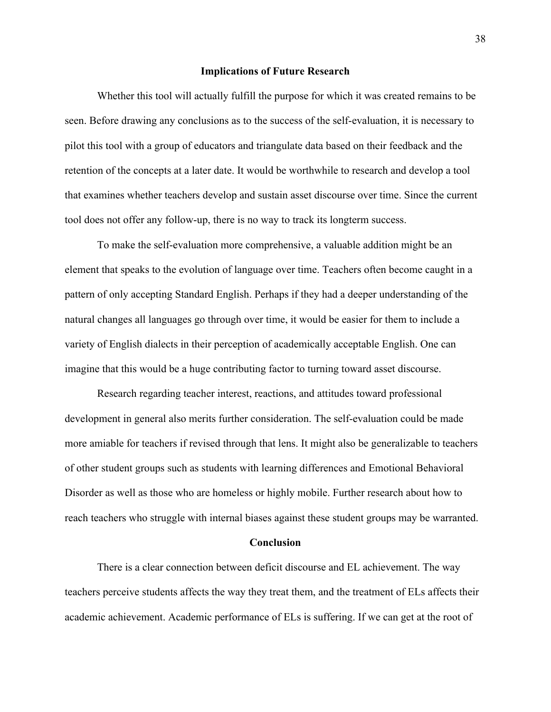#### **Implications of Future Research**

Whether this tool will actually fulfill the purpose for which it was created remains to be seen. Before drawing any conclusions as to the success of the self-evaluation, it is necessary to pilot this tool with a group of educators and triangulate data based on their feedback and the retention of the concepts at a later date. It would be worthwhile to research and develop a tool that examines whether teachers develop and sustain asset discourse over time. Since the current tool does not offer any follow-up, there is no way to track its longterm success.

To make the self-evaluation more comprehensive, a valuable addition might be an element that speaks to the evolution of language over time. Teachers often become caught in a pattern of only accepting Standard English. Perhaps if they had a deeper understanding of the natural changes all languages go through over time, it would be easier for them to include a variety of English dialects in their perception of academically acceptable English. One can imagine that this would be a huge contributing factor to turning toward asset discourse.

Research regarding teacher interest, reactions, and attitudes toward professional development in general also merits further consideration. The self-evaluation could be made more amiable for teachers if revised through that lens. It might also be generalizable to teachers of other student groups such as students with learning differences and Emotional Behavioral Disorder as well as those who are homeless or highly mobile. Further research about how to reach teachers who struggle with internal biases against these student groups may be warranted.

#### **Conclusion**

There is a clear connection between deficit discourse and EL achievement. The way teachers perceive students affects the way they treat them, and the treatment of ELs affects their academic achievement. Academic performance of ELs is suffering. If we can get at the root of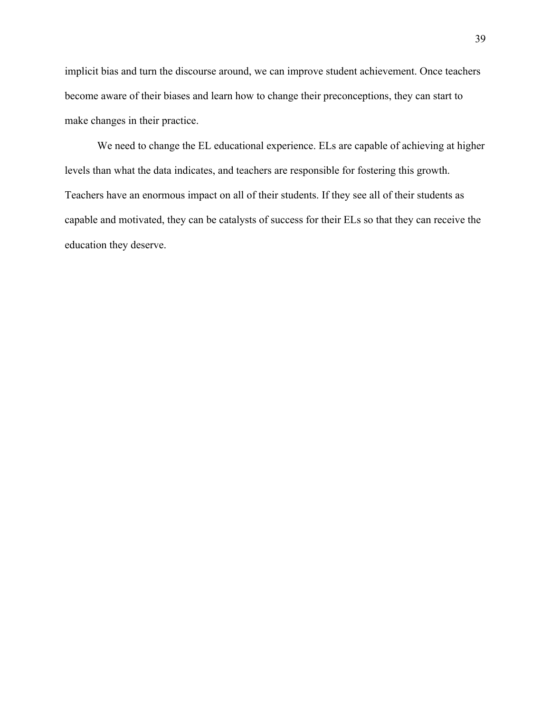implicit bias and turn the discourse around, we can improve student achievement. Once teachers become aware of their biases and learn how to change their preconceptions, they can start to make changes in their practice.

We need to change the EL educational experience. ELs are capable of achieving at higher levels than what the data indicates, and teachers are responsible for fostering this growth. Teachers have an enormous impact on all of their students. If they see all of their students as capable and motivated, they can be catalysts of success for their ELs so that they can receive the education they deserve.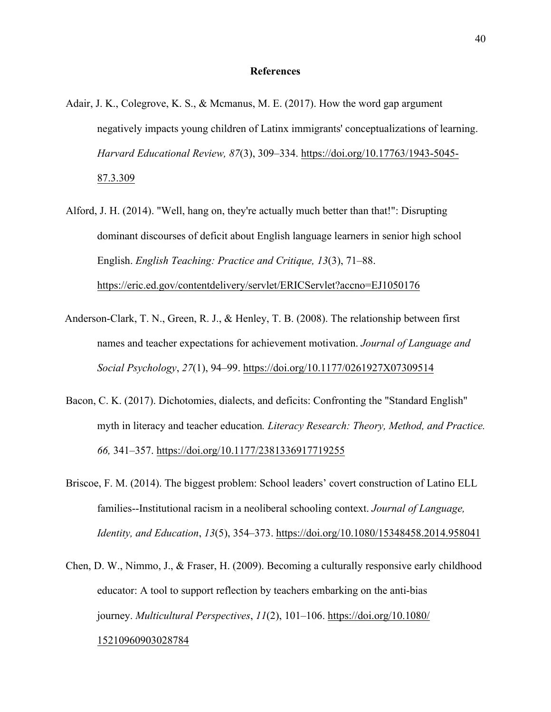#### **References**

- Adair, J. K., Colegrove, K. S., & Mcmanus, M. E. (2017). How the word gap argument negatively impacts young children of Latinx immigrants' conceptualizations of learning. *Harvard Educational Review, 87*(3), 309–334. https://doi.org/10.17763/1943-5045- 87.3.309
- Alford, J. H. (2014). "Well, hang on, they're actually much better than that!": Disrupting dominant discourses of deficit about English language learners in senior high school English. *English Teaching: Practice and Critique, 13*(3), 71–88. https://eric.ed.gov/contentdelivery/servlet/ERICServlet?accno=EJ1050176
- Anderson-Clark, T. N., Green, R. J., & Henley, T. B. (2008). The relationship between first names and teacher expectations for achievement motivation. *Journal of Language and Social Psychology*, *27*(1), 94–99. https://doi.org/10.1177/0261927X07309514
- Bacon, C. K. (2017). Dichotomies, dialects, and deficits: Confronting the "Standard English" myth in literacy and teacher education*. Literacy Research: Theory, Method, and Practice. 66,* 341–357. https://doi.org/10.1177/2381336917719255
- Briscoe, F. M. (2014). The biggest problem: School leaders' covert construction of Latino ELL families--Institutional racism in a neoliberal schooling context. *Journal of Language, Identity, and Education*, *13*(5), 354–373. https://doi.org/10.1080/15348458.2014.958041
- Chen, D. W., Nimmo, J., & Fraser, H. (2009). Becoming a culturally responsive early childhood educator: A tool to support reflection by teachers embarking on the anti-bias journey. *Multicultural Perspectives*, *11*(2), 101–106. https://doi.org/10.1080/ 15210960903028784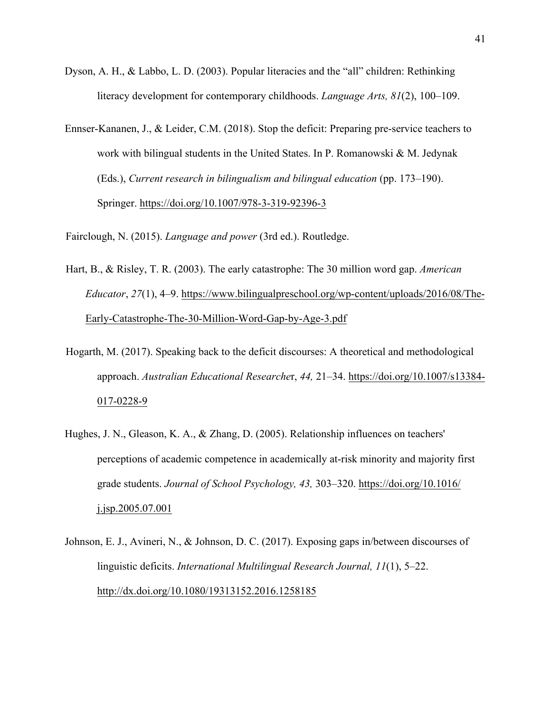- Dyson, A. H., & Labbo, L. D. (2003). Popular literacies and the "all" children: Rethinking literacy development for contemporary childhoods. *Language Arts, 81*(2), 100–109.
- Ennser-Kananen, J., & Leider, C.M. (2018). Stop the deficit: Preparing pre-service teachers to work with bilingual students in the United States. In P. Romanowski & M. Jedynak (Eds.), *Current research in bilingualism and bilingual education* (pp. 173–190). Springer. https://doi.org/10.1007/978-3-319-92396-3

Fairclough, N. (2015). *Language and power* (3rd ed.). Routledge.

- Hart, B., & Risley, T. R. (2003). The early catastrophe: The 30 million word gap. *American Educator*, *27*(1), 4–9. https://www.bilingualpreschool.org/wp-content/uploads/2016/08/The-Early-Catastrophe-The-30-Million-Word-Gap-by-Age-3.pdf
- Hogarth, M. (2017). Speaking back to the deficit discourses: A theoretical and methodological approach. *Australian Educational Researche*r, *44,* 21–34. https://doi.org/10.1007/s13384- 017-0228-9
- Hughes, J. N., Gleason, K. A., & Zhang, D. (2005). Relationship influences on teachers' perceptions of academic competence in academically at-risk minority and majority first grade students. *Journal of School Psychology, 43,* 303–320. https://doi.org/10.1016/ j.jsp.2005.07.001
- Johnson, E. J., Avineri, N., & Johnson, D. C. (2017). Exposing gaps in/between discourses of linguistic deficits. *International Multilingual Research Journal, 11*(1), 5–22. http://dx.doi.org/10.1080/19313152.2016.1258185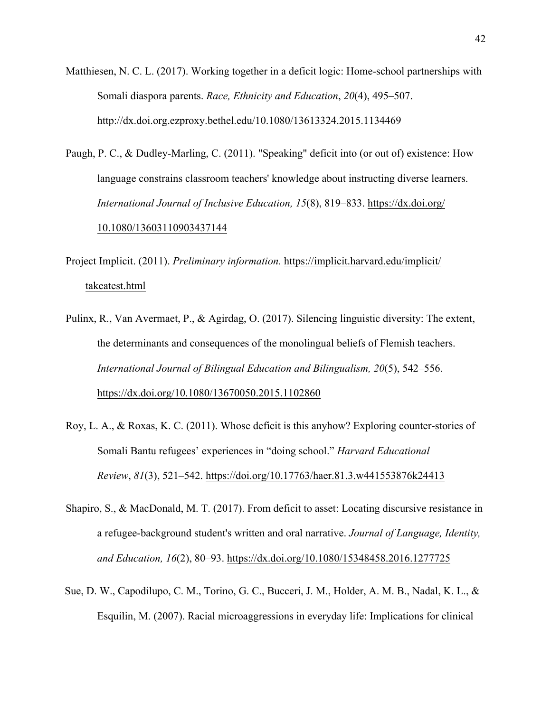- Matthiesen, N. C. L. (2017). Working together in a deficit logic: Home-school partnerships with Somali diaspora parents. *Race, Ethnicity and Education*, *20*(4), 495–507. http://dx.doi.org.ezproxy.bethel.edu/10.1080/13613324.2015.1134469
- Paugh, P. C., & Dudley-Marling, C. (2011). "Speaking" deficit into (or out of) existence: How language constrains classroom teachers' knowledge about instructing diverse learners. *International Journal of Inclusive Education, 15*(8), 819–833. https://dx.doi.org/ 10.1080/13603110903437144

Project Implicit. (2011). *Preliminary information.* https://implicit.harvard.edu/implicit/ takeatest.html

- Pulinx, R., Van Avermaet, P., & Agirdag, O. (2017). Silencing linguistic diversity: The extent, the determinants and consequences of the monolingual beliefs of Flemish teachers. *International Journal of Bilingual Education and Bilingualism, 20*(5), 542–556. https://dx.doi.org/10.1080/13670050.2015.1102860
- Roy, L. A., & Roxas, K. C. (2011). Whose deficit is this anyhow? Exploring counter-stories of Somali Bantu refugees' experiences in "doing school." *Harvard Educational Review*, *81*(3), 521–542. https://doi.org/10.17763/haer.81.3.w441553876k24413
- Shapiro, S., & MacDonald, M. T. (2017). From deficit to asset: Locating discursive resistance in a refugee-background student's written and oral narrative. *Journal of Language, Identity, and Education, 16*(2), 80–93. https://dx.doi.org/10.1080/15348458.2016.1277725
- Sue, D. W., Capodilupo, C. M., Torino, G. C., Bucceri, J. M., Holder, A. M. B., Nadal, K. L., & Esquilin, M. (2007). Racial microaggressions in everyday life: Implications for clinical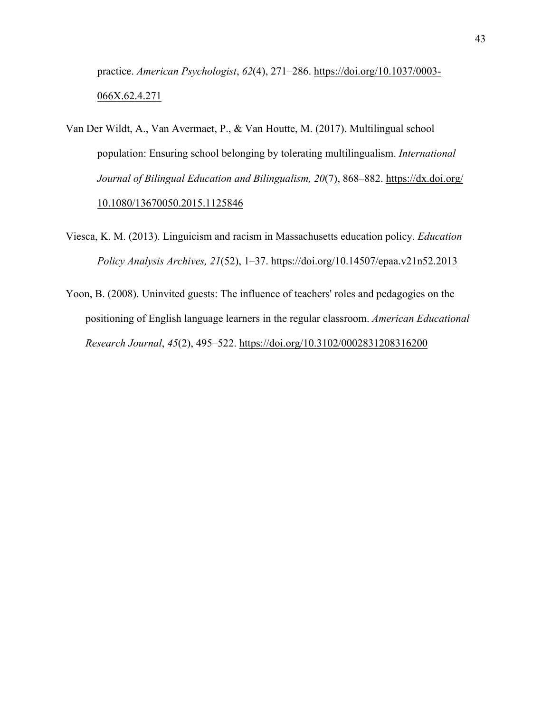practice. *American Psychologist*, *62*(4), 271–286. https://doi.org/10.1037/0003- 066X.62.4.271

- Van Der Wildt, A., Van Avermaet, P., & Van Houtte, M. (2017). Multilingual school population: Ensuring school belonging by tolerating multilingualism. *International Journal of Bilingual Education and Bilingualism, 20*(7), 868–882. https://dx.doi.org/ 10.1080/13670050.2015.1125846
- Viesca, K. M. (2013). Linguicism and racism in Massachusetts education policy. *Education Policy Analysis Archives, 21*(52), 1–37. https://doi.org/10.14507/epaa.v21n52.2013
- Yoon, B. (2008). Uninvited guests: The influence of teachers' roles and pedagogies on the positioning of English language learners in the regular classroom. *American Educational Research Journal*, *45*(2), 495–522. https://doi.org/10.3102/0002831208316200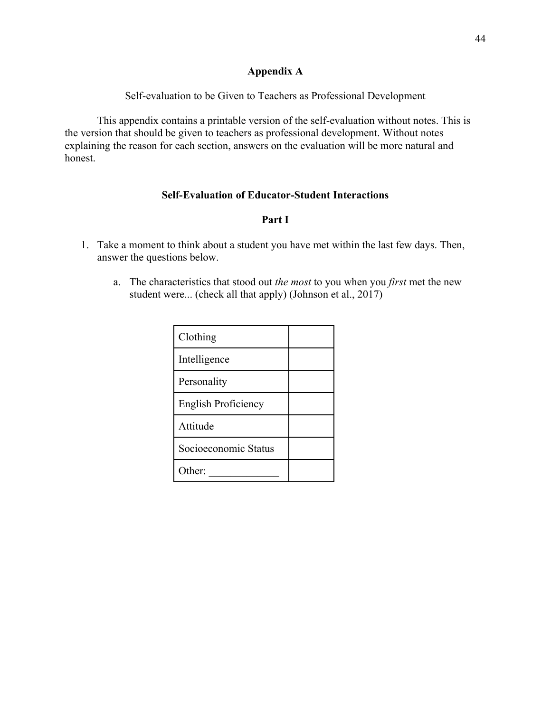## **Appendix A**

Self-evaluation to be Given to Teachers as Professional Development

This appendix contains a printable version of the self-evaluation without notes. This is the version that should be given to teachers as professional development. Without notes explaining the reason for each section, answers on the evaluation will be more natural and honest.

## **Self-Evaluation of Educator-Student Interactions**

## **Part I**

- 1. Take a moment to think about a student you have met within the last few days. Then, answer the questions below.
	- a. The characteristics that stood out *the most* to you when you *first* met the new student were... (check all that apply) (Johnson et al., 2017)

| Clothing             |  |
|----------------------|--|
| Intelligence         |  |
| Personality          |  |
| English Proficiency  |  |
| Attitude             |  |
| Socioeconomic Status |  |
| Other:               |  |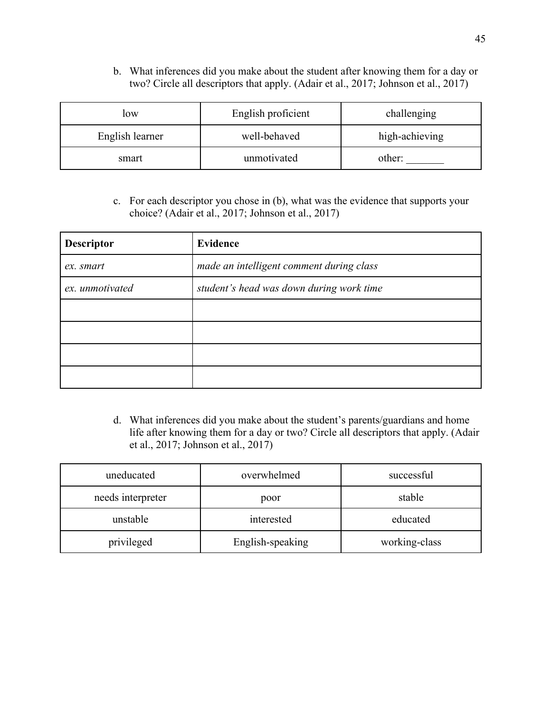b. What inferences did you make about the student after knowing them for a day or two? Circle all descriptors that apply. (Adair et al., 2017; Johnson et al., 2017)

| low             | English proficient | challenging    |
|-----------------|--------------------|----------------|
| English learner | well-behaved       | high-achieving |
| smart           | unmotivated        | other:         |

c. For each descriptor you chose in (b), what was the evidence that supports your choice? (Adair et al., 2017; Johnson et al., 2017)

| <b>Descriptor</b> | <b>Evidence</b>                          |
|-------------------|------------------------------------------|
| ex. smart         | made an intelligent comment during class |
| ex. unmotivated   | student's head was down during work time |
|                   |                                          |
|                   |                                          |
|                   |                                          |
|                   |                                          |

d. What inferences did you make about the student's parents/guardians and home life after knowing them for a day or two? Circle all descriptors that apply. (Adair et al., 2017; Johnson et al., 2017)

| uneducated        | overwhelmed      | successful    |
|-------------------|------------------|---------------|
| needs interpreter | poor             | stable        |
| unstable          | interested       | educated      |
| privileged        | English-speaking | working-class |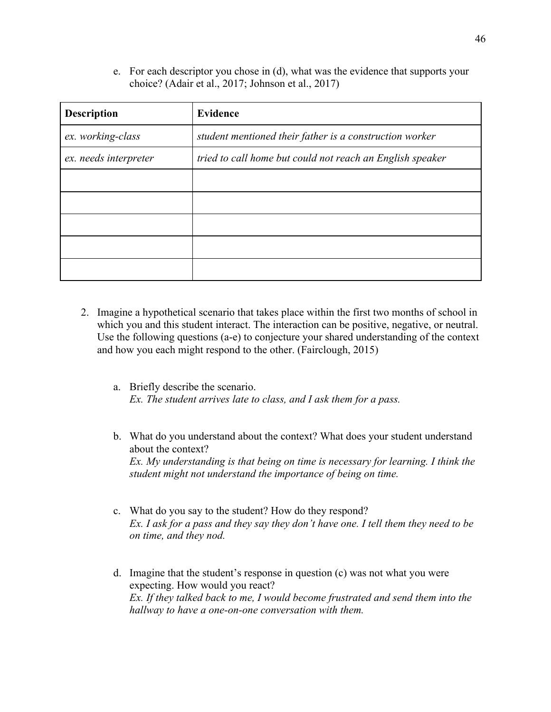e. For each descriptor you chose in (d), what was the evidence that supports your choice? (Adair et al., 2017; Johnson et al., 2017)

| <b>Description</b>    | <b>Evidence</b>                                           |
|-----------------------|-----------------------------------------------------------|
| ex. working-class     | student mentioned their father is a construction worker   |
| ex. needs interpreter | tried to call home but could not reach an English speaker |
|                       |                                                           |
|                       |                                                           |
|                       |                                                           |
|                       |                                                           |
|                       |                                                           |

- 2. Imagine a hypothetical scenario that takes place within the first two months of school in which you and this student interact. The interaction can be positive, negative, or neutral. Use the following questions (a-e) to conjecture your shared understanding of the context and how you each might respond to the other. (Fairclough, 2015)
	- a. Briefly describe the scenario. *Ex. The student arrives late to class, and I ask them for a pass.*
	- b. What do you understand about the context? What does your student understand about the context? *Ex. My understanding is that being on time is necessary for learning. I think the student might not understand the importance of being on time.*
	- c. What do you say to the student? How do they respond? *Ex. I ask for a pass and they say they don't have one. I tell them they need to be on time, and they nod.*
	- d. Imagine that the student's response in question (c) was not what you were expecting. How would you react? *Ex. If they talked back to me, I would become frustrated and send them into the hallway to have a one-on-one conversation with them.*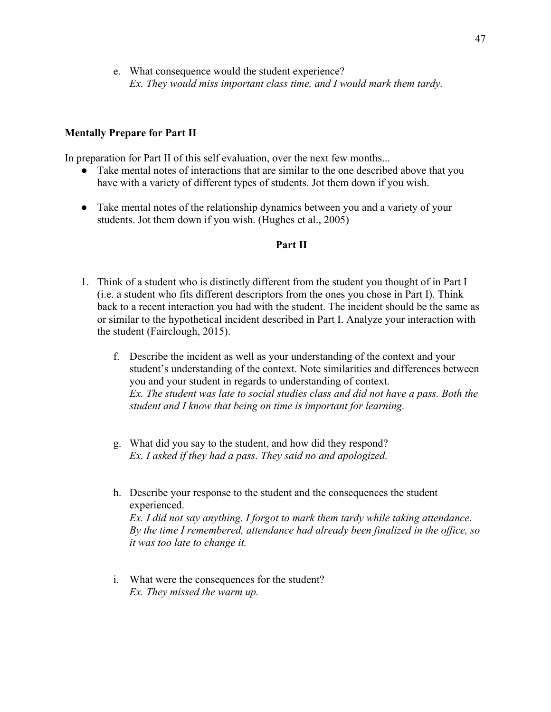e. What consequence would the student experience? *Ex. They would miss important class time, and I would mark them tardy.*

### **Mentally Prepare for Part II**

In preparation for Part II of this self evaluation, over the next few months...

- Take mental notes of interactions that are similar to the one described above that you have with a variety of different types of students. Jot them down if you wish.
- Take mental notes of the relationship dynamics between you and a variety of your students. Jot them down if you wish. (Hughes et al., 2005)

#### **Part II**

- 1. Think of a student who is distinctly different from the student you thought of in Part I (i.e. a student who fits different descriptors from the ones you chose in Part I). Think back to a recent interaction you had with the student. The incident should be the same as or similar to the hypothetical incident described in Part I. Analyze your interaction with the student (Fairclough, 2015).
	- f. Describe the incident as well as your understanding of the context and your student's understanding of the context. Note similarities and differences between you and your student in regards to understanding of context. *Ex. The student was late to social studies class and did not have a pass. Both the student and I know that being on time is important for learning.*
	- g. What did you say to the student, and how did they respond? *Ex. I asked if they had a pass. They said no and apologized.*
	- h. Describe your response to the student and the consequences the student experienced. *Ex. I did not say anything. I forgot to mark them tardy while taking attendance. By the time I remembered, attendance had already been finalized in the office, so it was too late to change it.*
	- i. What were the consequences for the student? *Ex. They missed the warm up.*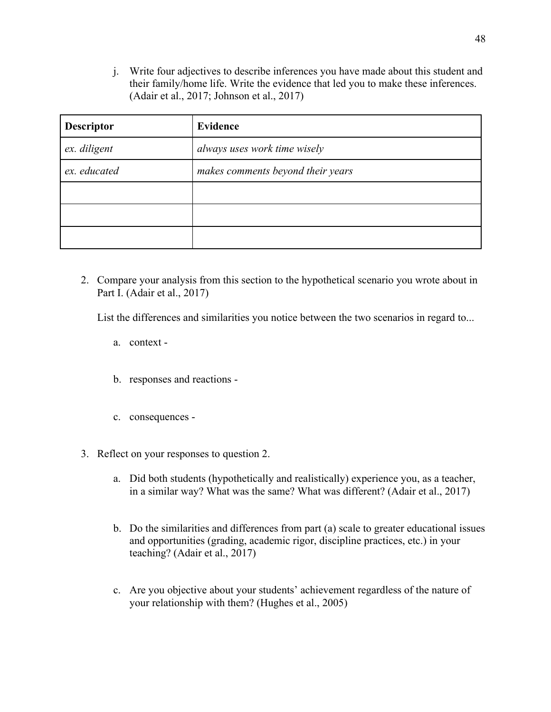j. Write four adjectives to describe inferences you have made about this student and their family/home life. Write the evidence that led you to make these inferences. (Adair et al., 2017; Johnson et al., 2017)

| <b>Descriptor</b> | <b>Evidence</b>                   |
|-------------------|-----------------------------------|
| ex. diligent      | always uses work time wisely      |
| ex. educated      | makes comments beyond their years |
|                   |                                   |
|                   |                                   |
|                   |                                   |

2. Compare your analysis from this section to the hypothetical scenario you wrote about in Part I. (Adair et al., 2017)

List the differences and similarities you notice between the two scenarios in regard to...

- a. context -
- b. responses and reactions -
- c. consequences -
- 3. Reflect on your responses to question 2.
	- a. Did both students (hypothetically and realistically) experience you, as a teacher, in a similar way? What was the same? What was different? (Adair et al., 2017)
	- b. Do the similarities and differences from part (a) scale to greater educational issues and opportunities (grading, academic rigor, discipline practices, etc.) in your teaching? (Adair et al., 2017)
	- c. Are you objective about your students' achievement regardless of the nature of your relationship with them? (Hughes et al., 2005)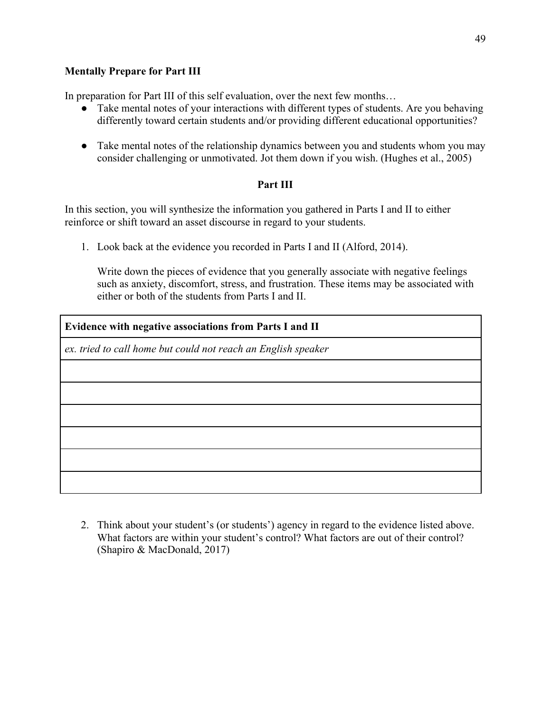## **Mentally Prepare for Part III**

In preparation for Part III of this self evaluation, over the next few months...

- Take mental notes of your interactions with different types of students. Are you behaving differently toward certain students and/or providing different educational opportunities?
- Take mental notes of the relationship dynamics between you and students whom you may consider challenging or unmotivated. Jot them down if you wish. (Hughes et al., 2005)

## **Part III**

In this section, you will synthesize the information you gathered in Parts I and II to either reinforce or shift toward an asset discourse in regard to your students.

1. Look back at the evidence you recorded in Parts I and II (Alford, 2014).

Write down the pieces of evidence that you generally associate with negative feelings such as anxiety, discomfort, stress, and frustration. These items may be associated with either or both of the students from Parts I and II.

| Evidence with negative associations from Parts I and II       |  |
|---------------------------------------------------------------|--|
| ex. tried to call home but could not reach an English speaker |  |
|                                                               |  |
|                                                               |  |
|                                                               |  |
|                                                               |  |
|                                                               |  |
|                                                               |  |

2. Think about your student's (or students') agency in regard to the evidence listed above. What factors are within your student's control? What factors are out of their control? (Shapiro & MacDonald, 2017)